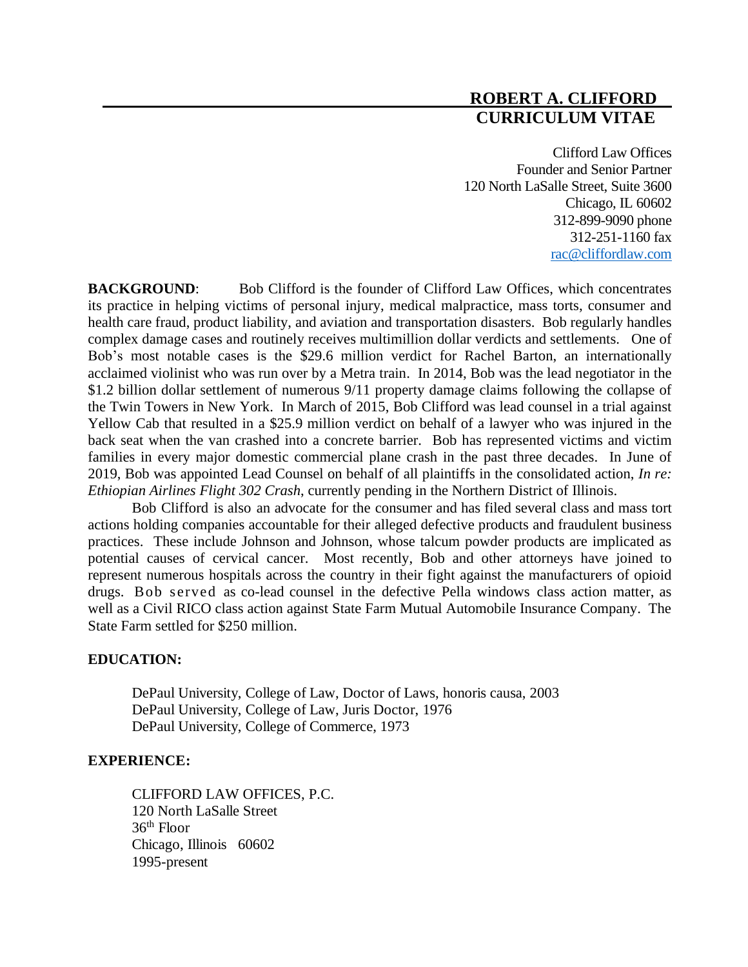# **ROBERT A. CLIFFORD CURRICULUM VITAE**

Clifford Law Offices Founder and Senior Partner 120 North LaSalle Street, Suite 3600 Chicago, IL 60602 312-899-9090 phone 312-251-1160 fax [rac@cliffordlaw.com](mailto:rac@cliffordlaw.com)

**BACKGROUND:** Bob Clifford is the founder of Clifford Law Offices, which concentrates its practice in helping victims of personal injury, medical malpractice, mass torts, consumer and health care fraud, product liability, and aviation and transportation disasters. Bob regularly handles complex damage cases and routinely receives multimillion dollar verdicts and settlements. One of Bob's most notable cases is the \$29.6 million verdict for Rachel Barton, an internationally acclaimed violinist who was run over by a Metra train. In 2014, Bob was the lead negotiator in the \$1.2 billion dollar settlement of numerous 9/11 property damage claims following the collapse of the Twin Towers in New York. In March of 2015, Bob Clifford was lead counsel in a trial against Yellow Cab that resulted in a \$25.9 million verdict on behalf of a lawyer who was injured in the back seat when the van crashed into a concrete barrier. Bob has represented victims and victim families in every major domestic commercial plane crash in the past three decades. In June of 2019, Bob was appointed Lead Counsel on behalf of all plaintiffs in the consolidated action, *In re: Ethiopian Airlines Flight 302 Crash*, currently pending in the Northern District of Illinois.

Bob Clifford is also an advocate for the consumer and has filed several class and mass tort actions holding companies accountable for their alleged defective products and fraudulent business practices. These include Johnson and Johnson, whose talcum powder products are implicated as potential causes of cervical cancer. Most recently, Bob and other attorneys have joined to represent numerous hospitals across the country in their fight against the manufacturers of opioid drugs. Bob served as co-lead counsel in the defective Pella windows class action matter, as well as a Civil RICO class action against State Farm Mutual Automobile Insurance Company. The State Farm settled for \$250 million.

## **EDUCATION:**

DePaul University, College of Law, Doctor of Laws, honoris causa, 2003 DePaul University, College of Law, Juris Doctor, 1976 DePaul University, College of Commerce, 1973

# **EXPERIENCE:**

CLIFFORD LAW OFFICES, P.C. 120 North LaSalle Street 36 th Floor Chicago, Illinois 60602 1995-present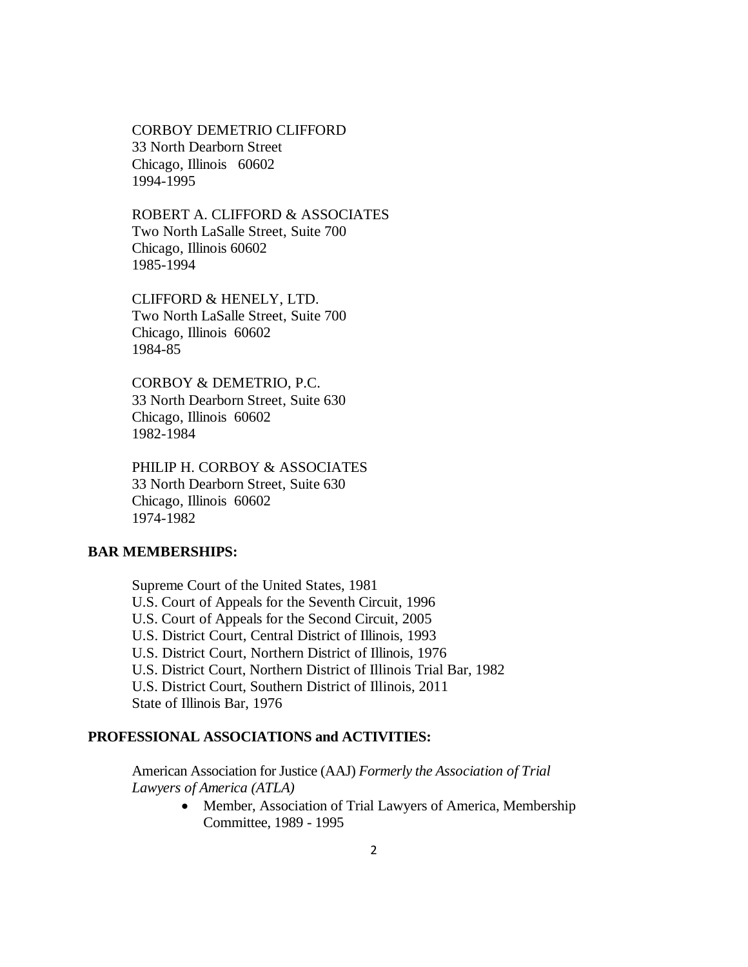CORBOY DEMETRIO CLIFFORD 33 North Dearborn Street Chicago, Illinois 60602 1994-1995

ROBERT A. CLIFFORD & ASSOCIATES Two North LaSalle Street, Suite 700 Chicago, Illinois 60602 1985-1994

CLIFFORD & HENELY, LTD. Two North LaSalle Street, Suite 700 Chicago, Illinois 60602 1984-85

CORBOY & DEMETRIO, P.C. 33 North Dearborn Street, Suite 630 Chicago, Illinois 60602 1982-1984

PHILIP H. CORBOY & ASSOCIATES 33 North Dearborn Street, Suite 630 Chicago, Illinois 60602 1974-1982

## **BAR MEMBERSHIPS:**

Supreme Court of the United States, 1981 U.S. Court of Appeals for the Seventh Circuit, 1996 U.S. Court of Appeals for the Second Circuit, 2005 U.S. District Court, Central District of Illinois, 1993 U.S. District Court, Northern District of Illinois, 1976 U.S. District Court, Northern District of Illinois Trial Bar, 1982 U.S. District Court, Southern District of Illinois, 2011 State of Illinois Bar, 1976

## **PROFESSIONAL ASSOCIATIONS and ACTIVITIES:**

American Association for Justice (AAJ) *Formerly the Association of Trial Lawyers of America (ATLA)* 

> • Member, Association of Trial Lawyers of America, Membership Committee, 1989 - 1995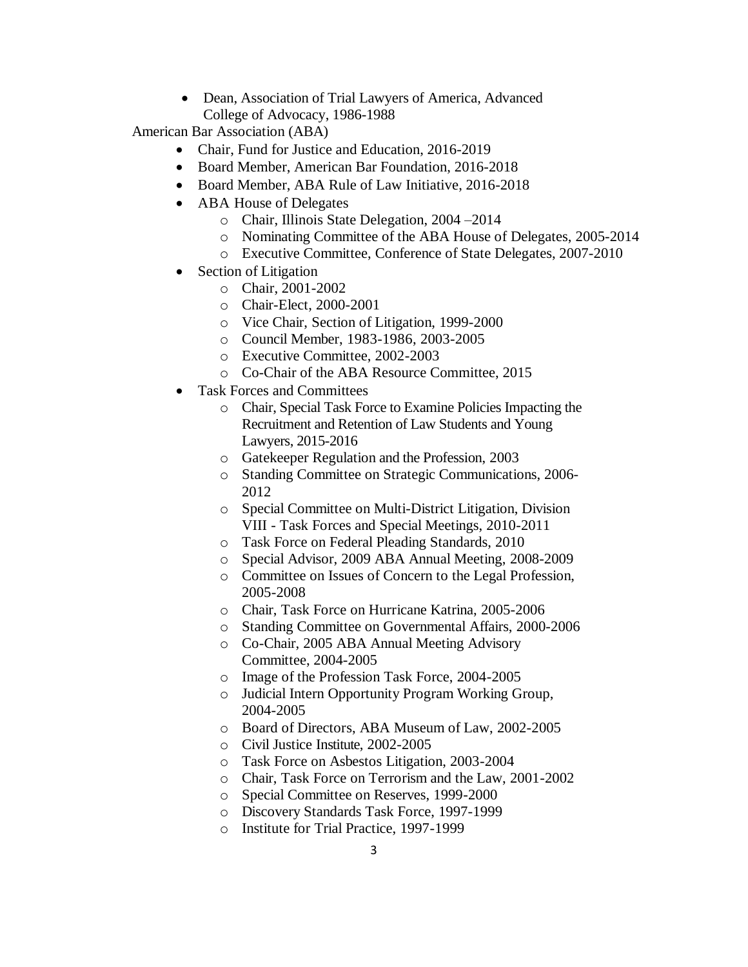• Dean, Association of Trial Lawyers of America, Advanced College of Advocacy, 1986-1988

American Bar Association (ABA)

- Chair, Fund for Justice and Education, 2016-2019
- Board Member, American Bar Foundation, 2016-2018
- Board Member, ABA Rule of Law Initiative, 2016-2018
- ABA House of Delegates
	- o Chair, Illinois State Delegation, 2004 –2014
	- o Nominating Committee of the ABA House of Delegates, 2005-2014
	- o Executive Committee, Conference of State Delegates, 2007-2010
- Section of Litigation
	- o Chair, 2001-2002
	- o Chair-Elect, 2000-2001
	- o Vice Chair, Section of Litigation, 1999-2000
	- o Council Member, 1983-1986, 2003-2005
	- o Executive Committee, 2002-2003
	- o Co-Chair of the ABA Resource Committee, 2015
- Task Forces and Committees
	- o Chair, Special Task Force to Examine Policies Impacting the Recruitment and Retention of Law Students and Young Lawyers, 2015-2016
	- o Gatekeeper Regulation and the Profession, 2003
	- o Standing Committee on Strategic Communications, 2006- 2012
	- o Special Committee on Multi-District Litigation, Division VIII - Task Forces and Special Meetings, 2010-2011
	- o Task Force on Federal Pleading Standards, 2010
	- o Special Advisor, 2009 ABA Annual Meeting, 2008-2009
	- o Committee on Issues of Concern to the Legal Profession, 2005-2008
	- o Chair, Task Force on Hurricane Katrina, 2005-2006
	- o Standing Committee on Governmental Affairs, 2000-2006
	- o Co-Chair, 2005 ABA Annual Meeting Advisory Committee, 2004-2005
	- o Image of the Profession Task Force, 2004-2005
	- o Judicial Intern Opportunity Program Working Group, 2004-2005
	- o Board of Directors, ABA Museum of Law, 2002-2005
	- o Civil Justice Institute, 2002-2005
	- o Task Force on Asbestos Litigation, 2003-2004
	- o Chair, Task Force on Terrorism and the Law, 2001-2002
	- o Special Committee on Reserves, 1999-2000
	- o Discovery Standards Task Force, 1997-1999
	- o Institute for Trial Practice, 1997-1999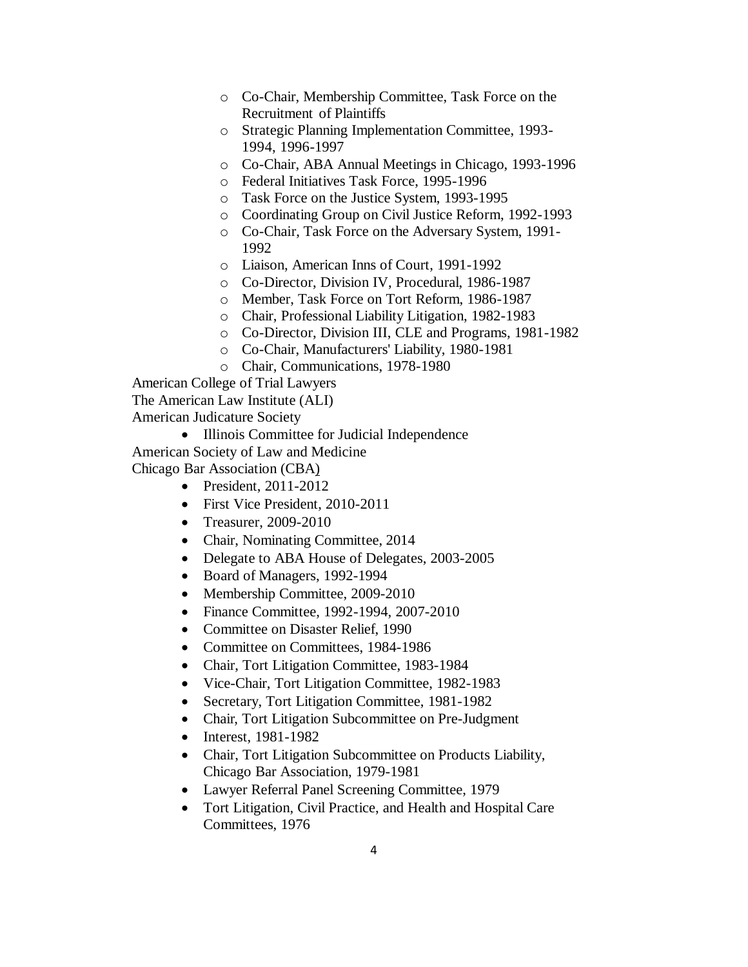- o Co-Chair, Membership Committee, Task Force on the Recruitment of Plaintiffs
- o Strategic Planning Implementation Committee, 1993- 1994, 1996-1997
- o Co-Chair, ABA Annual Meetings in Chicago, 1993-1996
- o Federal Initiatives Task Force, 1995-1996
- o Task Force on the Justice System, 1993-1995
- o Coordinating Group on Civil Justice Reform, 1992-1993
- o Co-Chair, Task Force on the Adversary System, 1991- 1992
- o Liaison, American Inns of Court, 1991-1992
- o Co-Director, Division IV, Procedural, 1986-1987
- o Member, Task Force on Tort Reform, 1986-1987
- o Chair, Professional Liability Litigation, 1982-1983
- o Co-Director, Division III, CLE and Programs, 1981-1982
- o Co-Chair, Manufacturers' Liability, 1980-1981
- o Chair, Communications, 1978-1980

American College of Trial Lawyers

The American Law Institute (ALI)

American Judicature Society

• Illinois Committee for Judicial Independence

American Society of Law and Medicine

Chicago Bar Association (CBA)

- President, 2011-2012
- First Vice President, 2010-2011
- Treasurer, 2009-2010
- Chair, Nominating Committee, 2014
- Delegate to ABA House of Delegates, 2003-2005
- Board of Managers, 1992-1994
- Membership Committee, 2009-2010
- Finance Committee, 1992-1994, 2007-2010
- Committee on Disaster Relief, 1990
- Committee on Committees, 1984-1986
- Chair, Tort Litigation Committee, 1983-1984
- Vice-Chair, Tort Litigation Committee, 1982-1983
- Secretary, Tort Litigation Committee, 1981-1982
- Chair, Tort Litigation Subcommittee on Pre-Judgment
- Interest, 1981-1982
- Chair, Tort Litigation Subcommittee on Products Liability, Chicago Bar Association, 1979-1981
- Lawyer Referral Panel Screening Committee, 1979
- Tort Litigation, Civil Practice, and Health and Hospital Care Committees, 1976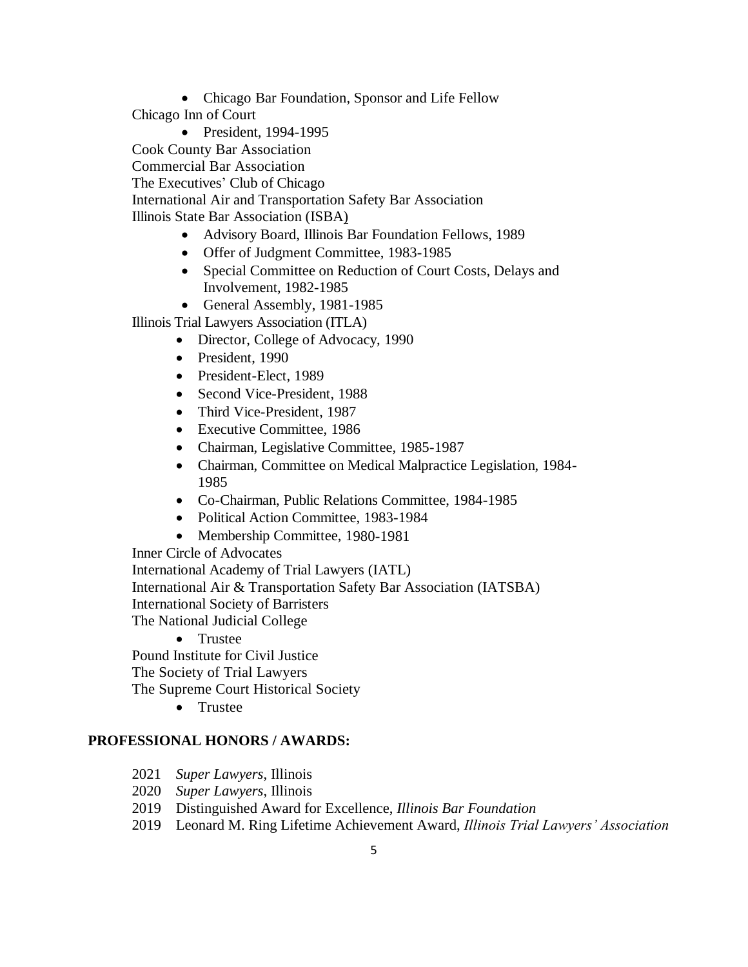• Chicago Bar Foundation, Sponsor and Life Fellow

Chicago Inn of Court

- President, 1994-1995 Cook County Bar Association Commercial Bar Association The Executives' Club of Chicago International Air and Transportation Safety Bar Association Illinois State Bar Association (ISBA) • Advisory Board, Illinois Bar Foundation Fellows, 1989
	-
	- Offer of Judgment Committee, 1983-1985
	- Special Committee on Reduction of Court Costs, Delays and Involvement, 1982-1985
	- General Assembly, 1981-1985

Illinois Trial Lawyers Association (ITLA)

- Director, College of Advocacy, 1990
- President, 1990
- President-Elect, 1989
- Second Vice-President, 1988
- Third Vice-President, 1987
- Executive Committee, 1986
- Chairman, Legislative Committee, 1985-1987
- Chairman, Committee on Medical Malpractice Legislation, 1984- 1985
- Co-Chairman, Public Relations Committee, 1984-1985
- Political Action Committee, 1983-1984
- Membership Committee, 1980-1981

Inner Circle of Advocates International Academy of Trial Lawyers (IATL) International Air & Transportation Safety Bar Association (IATSBA) International Society of Barristers The National Judicial College

• Trustee

Pound Institute for Civil Justice

The Society of Trial Lawyers

The Supreme Court Historical Society

• Trustee

# **PROFESSIONAL HONORS / AWARDS:**

- 2021 *Super Lawyers*, Illinois
- 2020 *Super Lawyers*, Illinois
- 2019 Distinguished Award for Excellence, *Illinois Bar Foundation*
- 2019 Leonard M. Ring Lifetime Achievement Award, *Illinois Trial Lawyers' Association*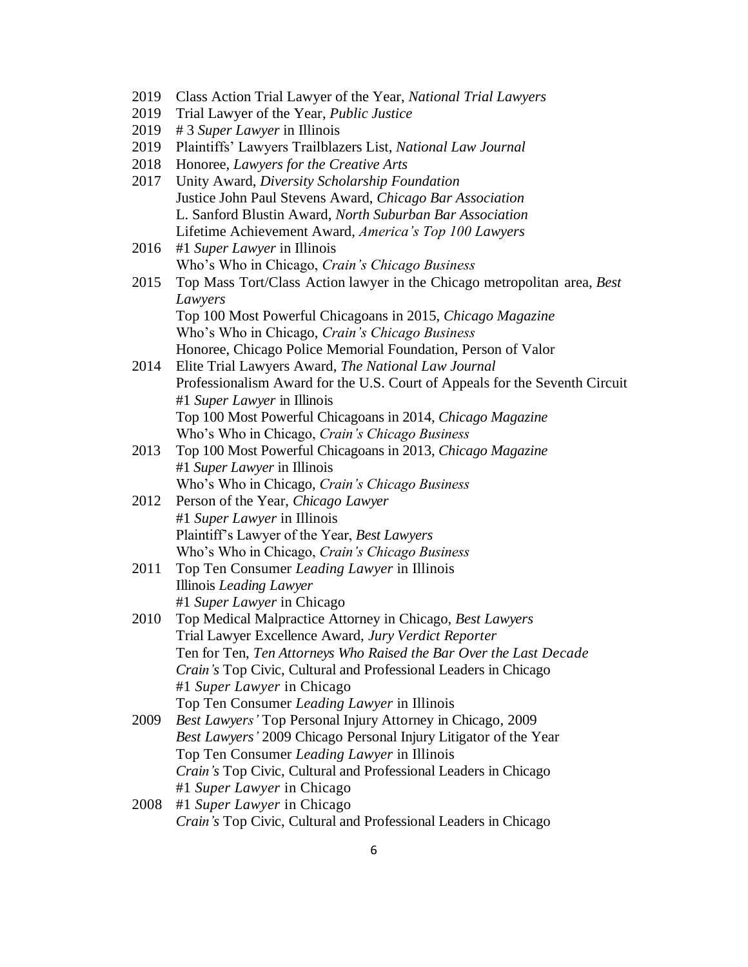- 2019 Class Action Trial Lawyer of the Year, *National Trial Lawyers*
- 2019 Trial Lawyer of the Year, *Public Justice*
- 2019 # 3 *Super Lawyer* in Illinois
- 2019 Plaintiffs' Lawyers Trailblazers List, *National Law Journal*
- 2018 Honoree, *Lawyers for the Creative Arts*
- 2017 Unity Award, *Diversity Scholarship Foundation* Justice John Paul Stevens Award, *Chicago Bar Association* L. Sanford Blustin Award, *North Suburban Bar Association* Lifetime Achievement Award, *America's Top 100 Lawyers*
- 2016 #1 *Super Lawyer* in Illinois Who's Who in Chicago, *Crain's Chicago Business*
- 2015 Top Mass Tort/Class Action lawyer in the Chicago metropolitan area, *Best Lawyers* Top 100 Most Powerful Chicagoans in 2015, *Chicago Magazine* Who's Who in Chicago, *Crain's Chicago Business* Honoree, Chicago Police Memorial Foundation, Person of Valor
- 2014 Elite Trial Lawyers Award, *The National Law Journal* Professionalism Award for the U.S. Court of Appeals for the Seventh Circuit #1 *Super Lawyer* in Illinois Top 100 Most Powerful Chicagoans in 2014, *Chicago Magazine* Who's Who in Chicago, *Crain's Chicago Business*
- 2013 Top 100 Most Powerful Chicagoans in 2013, *Chicago Magazine* #1 *Super Lawyer* in Illinois Who's Who in Chicago, *Crain's Chicago Business*
- 2012 Person of the Year, *Chicago Lawyer* #1 *Super Lawyer* in Illinois Plaintiff's Lawyer of the Year, *Best Lawyers* Who's Who in Chicago, *Crain's Chicago Business*
- 2011 Top Ten Consumer *Leading Lawyer* in Illinois Illinois *Leading Lawyer* #1 *Super Lawyer* in Chicago
- 2010 Top Medical Malpractice Attorney in Chicago, *Best Lawyers* Trial Lawyer Excellence Award, *Jury Verdict Reporter* Ten for Ten, *Ten Attorneys Who Raised the Bar Over the Last Decade Crain's* Top Civic, Cultural and Professional Leaders in Chicago #1 *Super Lawyer* in Chicago Top Ten Consumer *Leading Lawyer* in Illinois
- 2009 *Best Lawyers'* Top Personal Injury Attorney in Chicago, 2009 *Best Lawyers'* 2009 Chicago Personal Injury Litigator of the Year Top Ten Consumer *Leading Lawyer* in Illinois *Crain's* Top Civic, Cultural and Professional Leaders in Chicago #1 *Super Lawyer* in Chicago
- 2008 #1 *Super Lawyer* in Chicago *Crain's* Top Civic, Cultural and Professional Leaders in Chicago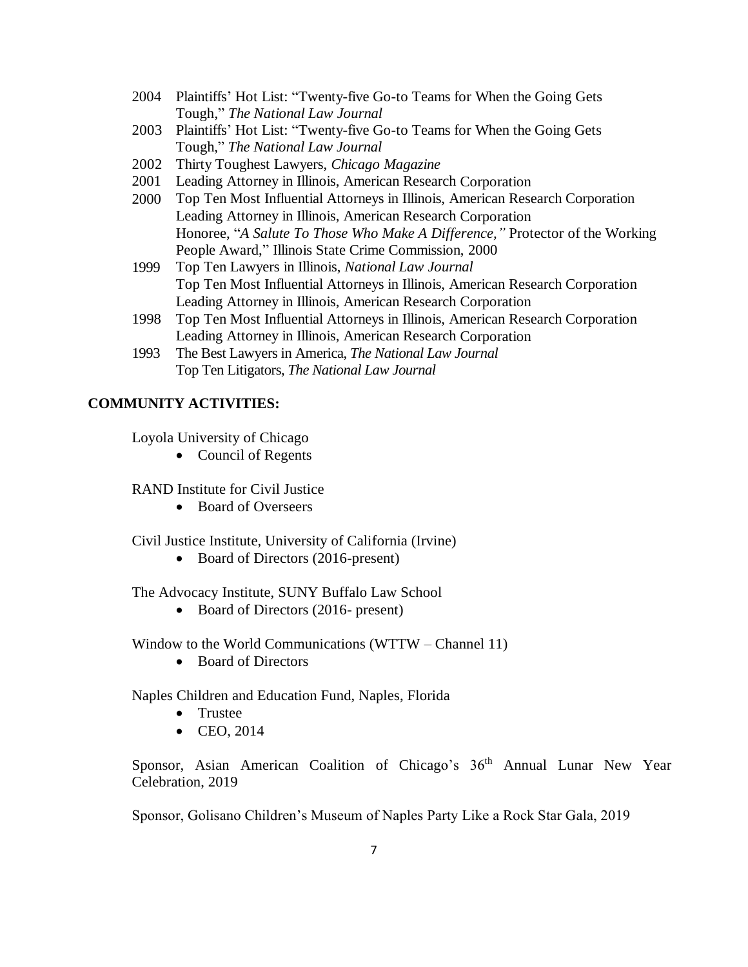- 2004 Plaintiffs' Hot List: "Twenty-five Go-to Teams for When the Going Gets Tough," *The National Law Journal*
- 2003 Plaintiffs' Hot List: "Twenty-five Go-to Teams for When the Going Gets Tough," *The National Law Journal*
- 2002 Thirty Toughest Lawyers, *Chicago Magazine*
- 2001 Leading Attorney in Illinois, American Research Corporation
- 2000 Top Ten Most Influential Attorneys in Illinois, American Research Corporation Leading Attorney in Illinois, American Research Corporation Honoree, "*A Salute To Those Who Make A Difference,"* Protector of the Working People Award," Illinois State Crime Commission, 2000
- 1999 Top Ten Lawyers in Illinois, *National Law Journal* Top Ten Most Influential Attorneys in Illinois, American Research Corporation Leading Attorney in Illinois, American Research Corporation
- 1998 Top Ten Most Influential Attorneys in Illinois, American Research Corporation Leading Attorney in Illinois, American Research Corporation
- 1993 The Best Lawyers in America, *The National Law Journal* Top Ten Litigators, *The National Law Journal*

## **COMMUNITY ACTIVITIES:**

Loyola University of Chicago

• Council of Regents

RAND Institute for Civil Justice

• Board of Overseers

Civil Justice Institute, University of California (Irvine)

• Board of Directors (2016-present)

The Advocacy Institute, SUNY Buffalo Law School

• Board of Directors (2016- present)

Window to the World Communications (WTTW – Channel 11)

• Board of Directors

Naples Children and Education Fund, Naples, Florida

- Trustee
- CEO, 2014

Sponsor, Asian American Coalition of Chicago's 36<sup>th</sup> Annual Lunar New Year Celebration, 2019

Sponsor, Golisano Children's Museum of Naples Party Like a Rock Star Gala, 2019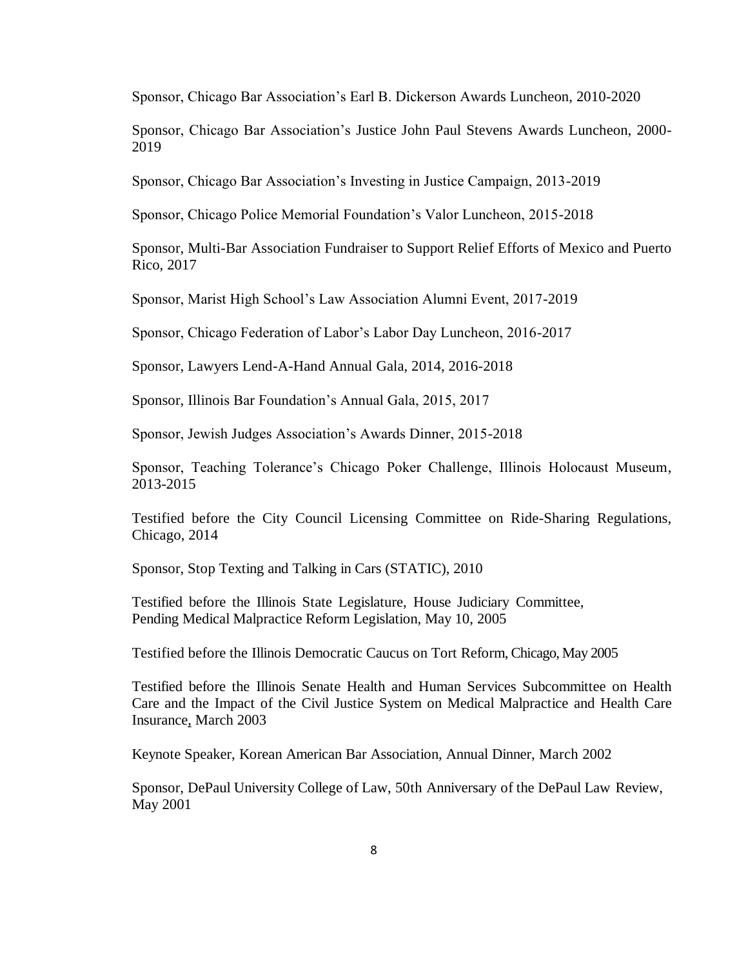Sponsor, Chicago Bar Association's Earl B. Dickerson Awards Luncheon, 2010-2020

Sponsor, Chicago Bar Association's Justice John Paul Stevens Awards Luncheon, 2000- 2019

Sponsor, Chicago Bar Association's Investing in Justice Campaign, 2013-2019

Sponsor, Chicago Police Memorial Foundation's Valor Luncheon, 2015-2018

Sponsor, Multi-Bar Association Fundraiser to Support Relief Efforts of Mexico and Puerto Rico, 2017

Sponsor, Marist High School's Law Association Alumni Event, 2017-2019

Sponsor, Chicago Federation of Labor's Labor Day Luncheon, 2016-2017

Sponsor, Lawyers Lend-A-Hand Annual Gala, 2014, 2016-2018

Sponsor, Illinois Bar Foundation's Annual Gala, 2015, 2017

Sponsor, Jewish Judges Association's Awards Dinner, 2015-2018

Sponsor, Teaching Tolerance's Chicago Poker Challenge, Illinois Holocaust Museum, 2013-2015

Testified before the City Council Licensing Committee on Ride-Sharing Regulations, Chicago, 2014

Sponsor, Stop Texting and Talking in Cars (STATIC), 2010

Testified before the Illinois State Legislature, House Judiciary Committee, Pending Medical Malpractice Reform Legislation, May 10, 2005

Testified before the Illinois Democratic Caucus on Tort Reform, Chicago, May 2005

Testified before the Illinois Senate Health and Human Services Subcommittee on Health Care and the Impact of the Civil Justice System on Medical Malpractice and Health Care Insurance, March 2003

Keynote Speaker, Korean American Bar Association, Annual Dinner, March 2002

Sponsor, DePaul University College of Law, 50th Anniversary of the DePaul Law Review, May 2001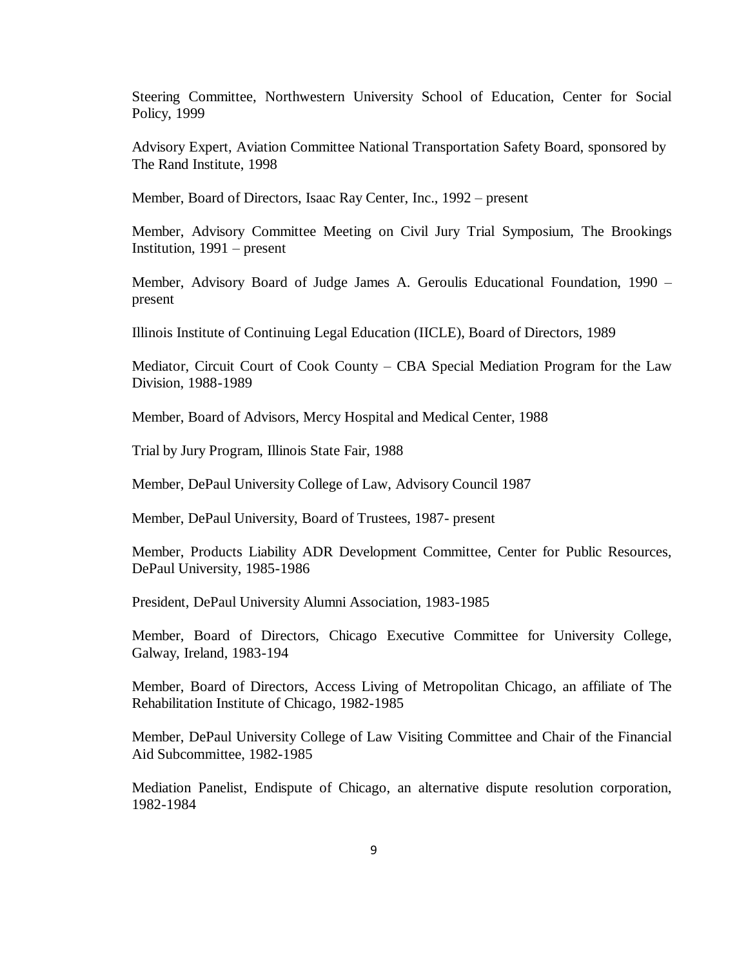Steering Committee, Northwestern University School of Education, Center for Social Policy, 1999

Advisory Expert, Aviation Committee National Transportation Safety Board, sponsored by The Rand Institute, 1998

Member, Board of Directors, Isaac Ray Center, Inc., 1992 – present

Member, Advisory Committee Meeting on Civil Jury Trial Symposium, The Brookings Institution, 1991 – present

Member, Advisory Board of Judge James A. Geroulis Educational Foundation, 1990 – present

Illinois Institute of Continuing Legal Education (IICLE), Board of Directors, 1989

Mediator, Circuit Court of Cook County – CBA Special Mediation Program for the Law Division, 1988-1989

Member, Board of Advisors, Mercy Hospital and Medical Center, 1988

Trial by Jury Program, Illinois State Fair, 1988

Member, DePaul University College of Law, Advisory Council 1987

Member, DePaul University, Board of Trustees, 1987- present

Member, Products Liability ADR Development Committee, Center for Public Resources, DePaul University, 1985-1986

President, DePaul University Alumni Association, 1983-1985

Member, Board of Directors, Chicago Executive Committee for University College, Galway, Ireland, 1983-194

Member, Board of Directors, Access Living of Metropolitan Chicago, an affiliate of The Rehabilitation Institute of Chicago, 1982-1985

Member, DePaul University College of Law Visiting Committee and Chair of the Financial Aid Subcommittee, 1982-1985

Mediation Panelist, Endispute of Chicago, an alternative dispute resolution corporation, 1982-1984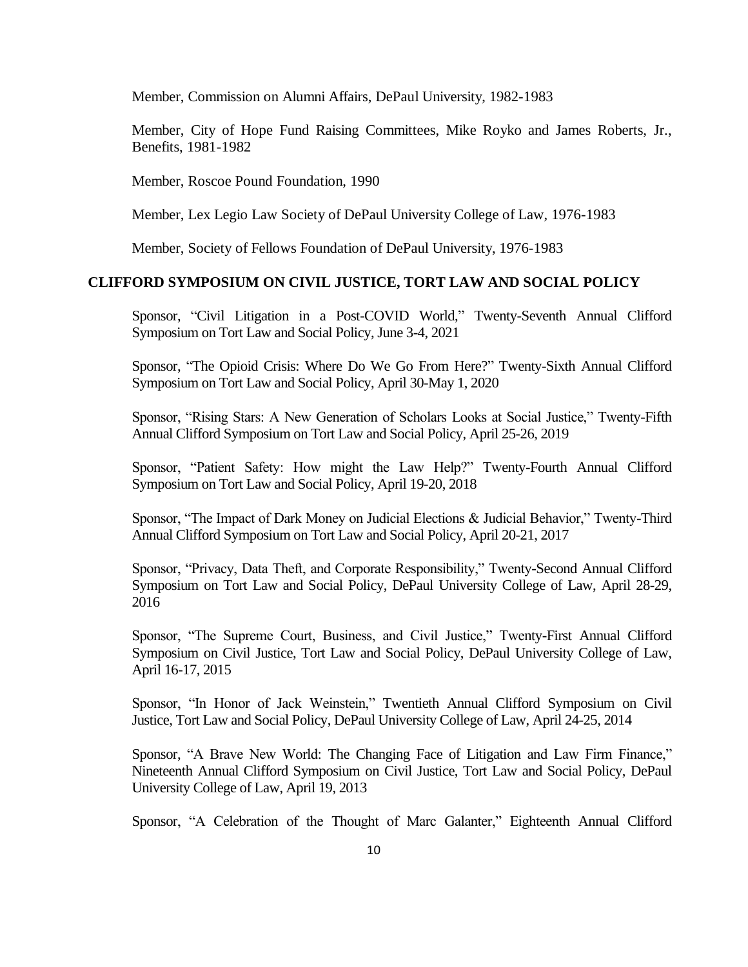Member, Commission on Alumni Affairs, DePaul University, 1982-1983

Member, City of Hope Fund Raising Committees, Mike Royko and James Roberts, Jr., Benefits, 1981-1982

Member, Roscoe Pound Foundation, 1990

Member, Lex Legio Law Society of DePaul University College of Law, 1976-1983

Member, Society of Fellows Foundation of DePaul University, 1976-1983

# **CLIFFORD SYMPOSIUM ON CIVIL JUSTICE, TORT LAW AND SOCIAL POLICY**

Sponsor, "Civil Litigation in a Post-COVID World," Twenty-Seventh Annual Clifford Symposium on Tort Law and Social Policy, June 3-4, 2021

Sponsor, "The Opioid Crisis: Where Do We Go From Here?" Twenty-Sixth Annual Clifford Symposium on Tort Law and Social Policy, April 30-May 1, 2020

Sponsor, "Rising Stars: A New Generation of Scholars Looks at Social Justice," Twenty-Fifth Annual Clifford Symposium on Tort Law and Social Policy, April 25-26, 2019

Sponsor, "Patient Safety: How might the Law Help?" Twenty-Fourth Annual Clifford Symposium on Tort Law and Social Policy, April 19-20, 2018

Sponsor, "The Impact of Dark Money on Judicial Elections & Judicial Behavior," Twenty-Third Annual Clifford Symposium on Tort Law and Social Policy, April 20-21, 2017

Sponsor, "Privacy, Data Theft, and Corporate Responsibility," Twenty-Second Annual Clifford Symposium on Tort Law and Social Policy, DePaul University College of Law, April 28-29, 2016

Sponsor, "The Supreme Court, Business, and Civil Justice," Twenty-First Annual Clifford Symposium on Civil Justice, Tort Law and Social Policy, DePaul University College of Law, April 16-17, 2015

Sponsor, "In Honor of Jack Weinstein," Twentieth Annual Clifford Symposium on Civil Justice, Tort Law and Social Policy, DePaul University College of Law, April 24-25, 2014

Sponsor, "A Brave New World: The Changing Face of Litigation and Law Firm Finance," Nineteenth Annual Clifford Symposium on Civil Justice, Tort Law and Social Policy, DePaul University College of Law, April 19, 2013

Sponsor, "A Celebration of the Thought of Marc Galanter," Eighteenth Annual Clifford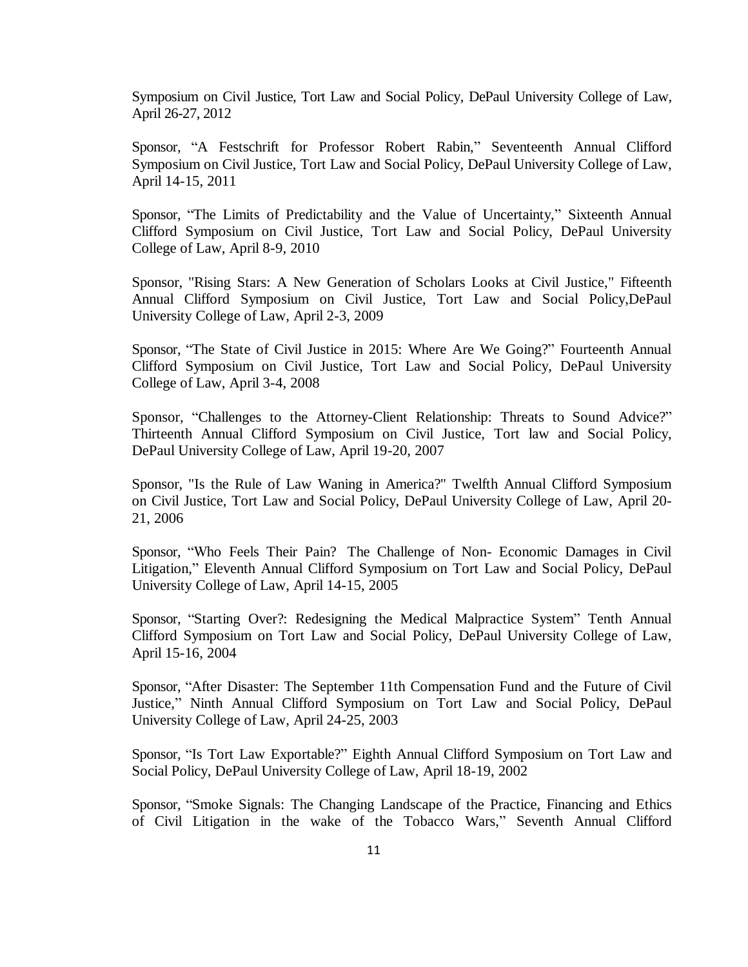Symposium on Civil Justice, Tort Law and Social Policy, DePaul University College of Law, April 26-27, 2012

Sponsor, "A Festschrift for Professor Robert Rabin," Seventeenth Annual Clifford Symposium on Civil Justice, Tort Law and Social Policy, DePaul University College of Law, April 14-15, 2011

Sponsor, "The Limits of Predictability and the Value of Uncertainty," Sixteenth Annual Clifford Symposium on Civil Justice, Tort Law and Social Policy, DePaul University College of Law, April 8-9, 2010

Sponsor, "Rising Stars: A New Generation of Scholars Looks at Civil Justice," Fifteenth Annual Clifford Symposium on Civil Justice, Tort Law and Social Policy,DePaul University College of Law, April 2-3, 2009

Sponsor, "The State of Civil Justice in 2015: Where Are We Going?" Fourteenth Annual Clifford Symposium on Civil Justice, Tort Law and Social Policy, DePaul University College of Law, April 3-4, 2008

Sponsor, "Challenges to the Attorney-Client Relationship: Threats to Sound Advice?" Thirteenth Annual Clifford Symposium on Civil Justice, Tort law and Social Policy, DePaul University College of Law, April 19-20, 2007

Sponsor, "Is the Rule of Law Waning in America?" Twelfth Annual Clifford Symposium on Civil Justice, Tort Law and Social Policy, DePaul University College of Law, April 20- 21, 2006

Sponsor, "Who Feels Their Pain? The Challenge of Non- Economic Damages in Civil Litigation," Eleventh Annual Clifford Symposium on Tort Law and Social Policy, DePaul University College of Law, April 14-15, 2005

Sponsor, "Starting Over?: Redesigning the Medical Malpractice System" Tenth Annual Clifford Symposium on Tort Law and Social Policy, DePaul University College of Law, April 15-16, 2004

Sponsor, "After Disaster: The September 11th Compensation Fund and the Future of Civil Justice," Ninth Annual Clifford Symposium on Tort Law and Social Policy, DePaul University College of Law, April 24-25, 2003

Sponsor, "Is Tort Law Exportable?" Eighth Annual Clifford Symposium on Tort Law and Social Policy, DePaul University College of Law, April 18-19, 2002

Sponsor, "Smoke Signals: The Changing Landscape of the Practice, Financing and Ethics of Civil Litigation in the wake of the Tobacco Wars," Seventh Annual Clifford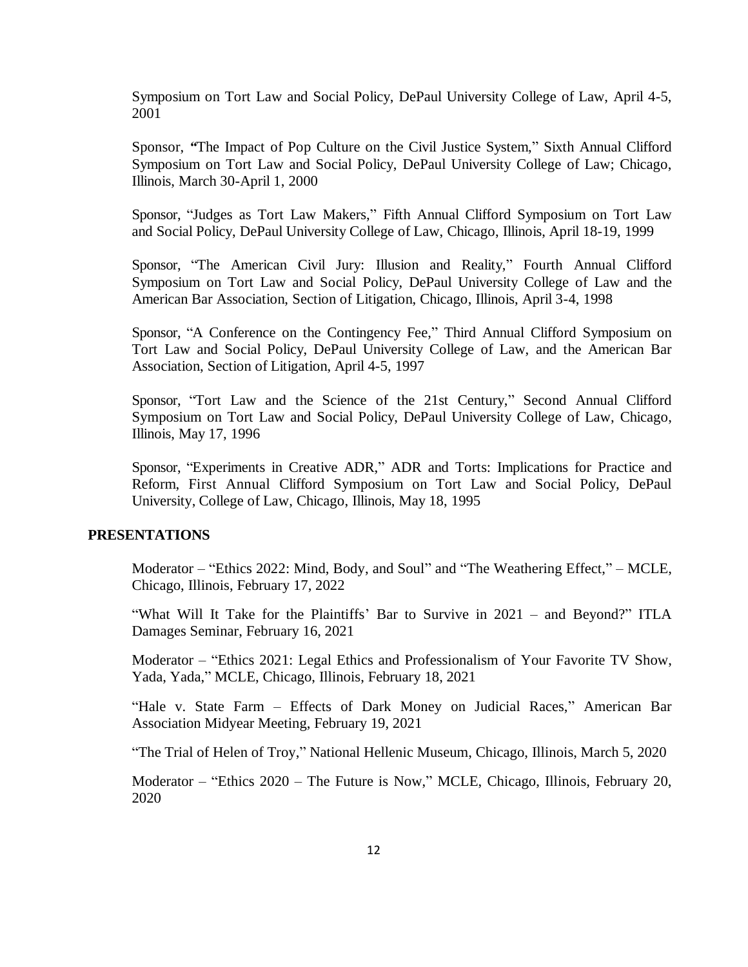Symposium on Tort Law and Social Policy, DePaul University College of Law, April 4-5, 2001

Sponsor, *"*The Impact of Pop Culture on the Civil Justice System," Sixth Annual Clifford Symposium on Tort Law and Social Policy, DePaul University College of Law; Chicago, Illinois, March 30-April 1, 2000

Sponsor, "Judges as Tort Law Makers," Fifth Annual Clifford Symposium on Tort Law and Social Policy, DePaul University College of Law, Chicago, Illinois, April 18-19, 1999

Sponsor, "The American Civil Jury: Illusion and Reality," Fourth Annual Clifford Symposium on Tort Law and Social Policy, DePaul University College of Law and the American Bar Association, Section of Litigation, Chicago, Illinois, April 3-4, 1998

Sponsor, "A Conference on the Contingency Fee," Third Annual Clifford Symposium on Tort Law and Social Policy, DePaul University College of Law, and the American Bar Association, Section of Litigation, April 4-5, 1997

Sponsor, "Tort Law and the Science of the 21st Century," Second Annual Clifford Symposium on Tort Law and Social Policy, DePaul University College of Law, Chicago, Illinois, May 17, 1996

Sponsor, "Experiments in Creative ADR," ADR and Torts: Implications for Practice and Reform, First Annual Clifford Symposium on Tort Law and Social Policy, DePaul University, College of Law, Chicago, Illinois, May 18, 1995

### **PRESENTATIONS**

Moderator – "Ethics 2022: Mind, Body, and Soul" and "The Weathering Effect," – MCLE, Chicago, Illinois, February 17, 2022

"What Will It Take for the Plaintiffs' Bar to Survive in 2021 – and Beyond?" ITLA Damages Seminar, February 16, 2021

Moderator – "Ethics 2021: Legal Ethics and Professionalism of Your Favorite TV Show, Yada, Yada," MCLE, Chicago, Illinois, February 18, 2021

"Hale v. State Farm – Effects of Dark Money on Judicial Races," American Bar Association Midyear Meeting, February 19, 2021

"The Trial of Helen of Troy," National Hellenic Museum, Chicago, Illinois, March 5, 2020

Moderator – "Ethics 2020 – The Future is Now," MCLE, Chicago, Illinois, February 20, 2020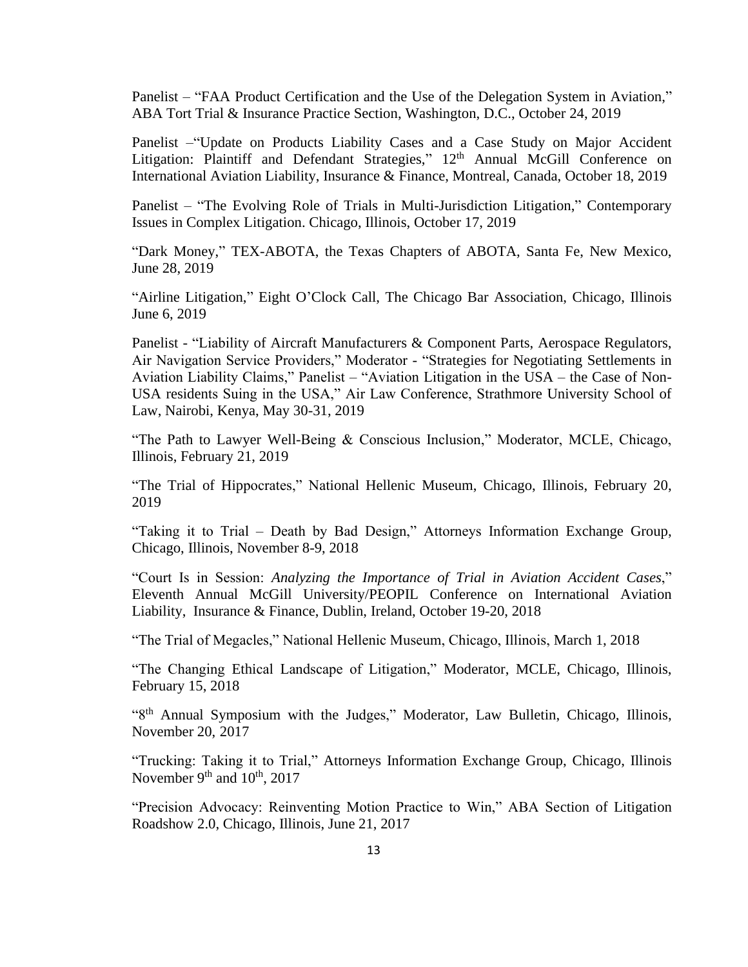Panelist – "FAA Product Certification and the Use of the Delegation System in Aviation," ABA Tort Trial & Insurance Practice Section, Washington, D.C., October 24, 2019

Panelist –"Update on Products Liability Cases and a Case Study on Major Accident Litigation: Plaintiff and Defendant Strategies," 12<sup>th</sup> Annual McGill Conference on International Aviation Liability, Insurance & Finance, Montreal, Canada, October 18, 2019

Panelist – "The Evolving Role of Trials in Multi-Jurisdiction Litigation," Contemporary Issues in Complex Litigation. Chicago, Illinois, October 17, 2019

"Dark Money," TEX-ABOTA, the Texas Chapters of ABOTA, Santa Fe, New Mexico, June 28, 2019

"Airline Litigation," Eight O'Clock Call, The Chicago Bar Association, Chicago, Illinois June 6, 2019

Panelist - "Liability of Aircraft Manufacturers & Component Parts, Aerospace Regulators, Air Navigation Service Providers," Moderator - "Strategies for Negotiating Settlements in Aviation Liability Claims," Panelist – "Aviation Litigation in the USA – the Case of Non-USA residents Suing in the USA," Air Law Conference, Strathmore University School of Law, Nairobi, Kenya, May 30-31, 2019

"The Path to Lawyer Well-Being & Conscious Inclusion," Moderator, MCLE, Chicago, Illinois, February 21, 2019

"The Trial of Hippocrates," National Hellenic Museum, Chicago, Illinois, February 20, 2019

"Taking it to Trial – Death by Bad Design," Attorneys Information Exchange Group, Chicago, Illinois, November 8-9, 2018

"Court Is in Session: *Analyzing the Importance of Trial in Aviation Accident Cases*," Eleventh Annual McGill University/PEOPIL Conference on International Aviation Liability, Insurance & Finance, Dublin, Ireland, October 19-20, 2018

"The Trial of Megacles," National Hellenic Museum, Chicago, Illinois, March 1, 2018

"The Changing Ethical Landscape of Litigation," Moderator, MCLE, Chicago, Illinois, February 15, 2018

"8th Annual Symposium with the Judges," Moderator, Law Bulletin, Chicago, Illinois, November 20, 2017

"Trucking: Taking it to Trial," Attorneys Information Exchange Group, Chicago, Illinois November  $9<sup>th</sup>$  and  $10<sup>th</sup>$ , 2017

"Precision Advocacy: Reinventing Motion Practice to Win," ABA Section of Litigation Roadshow 2.0, Chicago, Illinois, June 21, 2017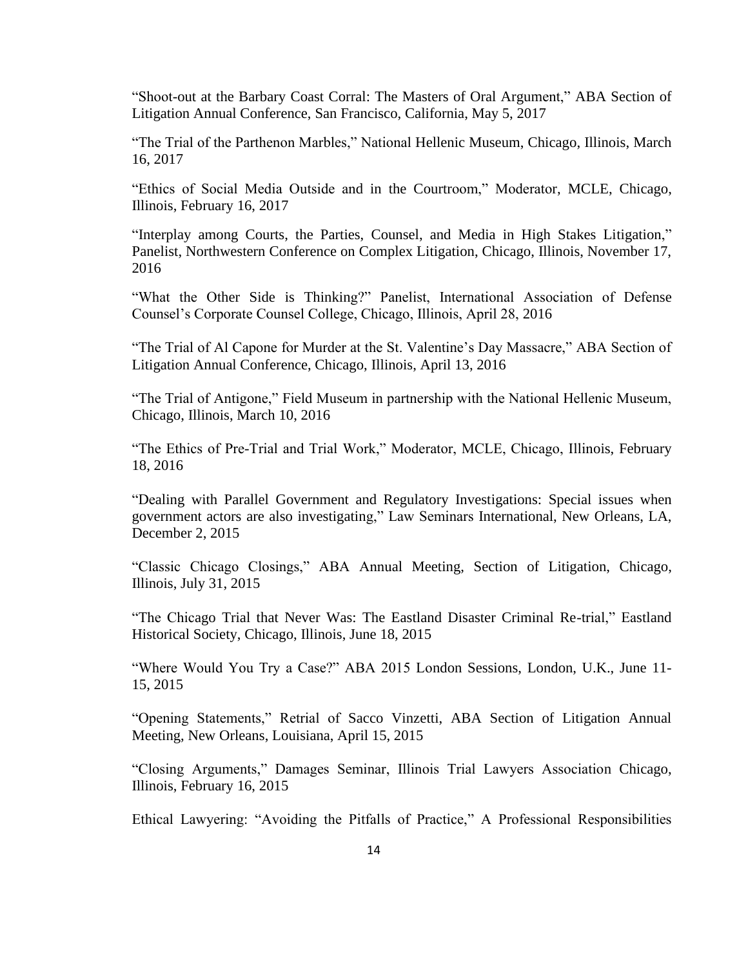"Shoot-out at the Barbary Coast Corral: The Masters of Oral Argument," ABA Section of Litigation Annual Conference, San Francisco, California, May 5, 2017

"The Trial of the Parthenon Marbles," National Hellenic Museum, Chicago, Illinois, March 16, 2017

"Ethics of Social Media Outside and in the Courtroom," Moderator, MCLE, Chicago, Illinois, February 16, 2017

"Interplay among Courts, the Parties, Counsel, and Media in High Stakes Litigation," Panelist, Northwestern Conference on Complex Litigation, Chicago, Illinois, November 17, 2016

"What the Other Side is Thinking?" Panelist, International Association of Defense Counsel's Corporate Counsel College, Chicago, Illinois, April 28, 2016

"The Trial of Al Capone for Murder at the St. Valentine's Day Massacre," ABA Section of Litigation Annual Conference, Chicago, Illinois, April 13, 2016

"The Trial of Antigone," Field Museum in partnership with the National Hellenic Museum, Chicago, Illinois, March 10, 2016

"The Ethics of Pre-Trial and Trial Work," Moderator, MCLE, Chicago, Illinois, February 18, 2016

"Dealing with Parallel Government and Regulatory Investigations: Special issues when government actors are also investigating," Law Seminars International, New Orleans, LA, December 2, 2015

"Classic Chicago Closings," ABA Annual Meeting, Section of Litigation, Chicago, Illinois, July 31, 2015

"The Chicago Trial that Never Was: The Eastland Disaster Criminal Re-trial," Eastland Historical Society, Chicago, Illinois, June 18, 2015

"Where Would You Try a Case?" ABA 2015 London Sessions, London, U.K., June 11- 15, 2015

"Opening Statements," Retrial of Sacco Vinzetti, ABA Section of Litigation Annual Meeting, New Orleans, Louisiana, April 15, 2015

"Closing Arguments," Damages Seminar, Illinois Trial Lawyers Association Chicago, Illinois, February 16, 2015

Ethical Lawyering: "Avoiding the Pitfalls of Practice," A Professional Responsibilities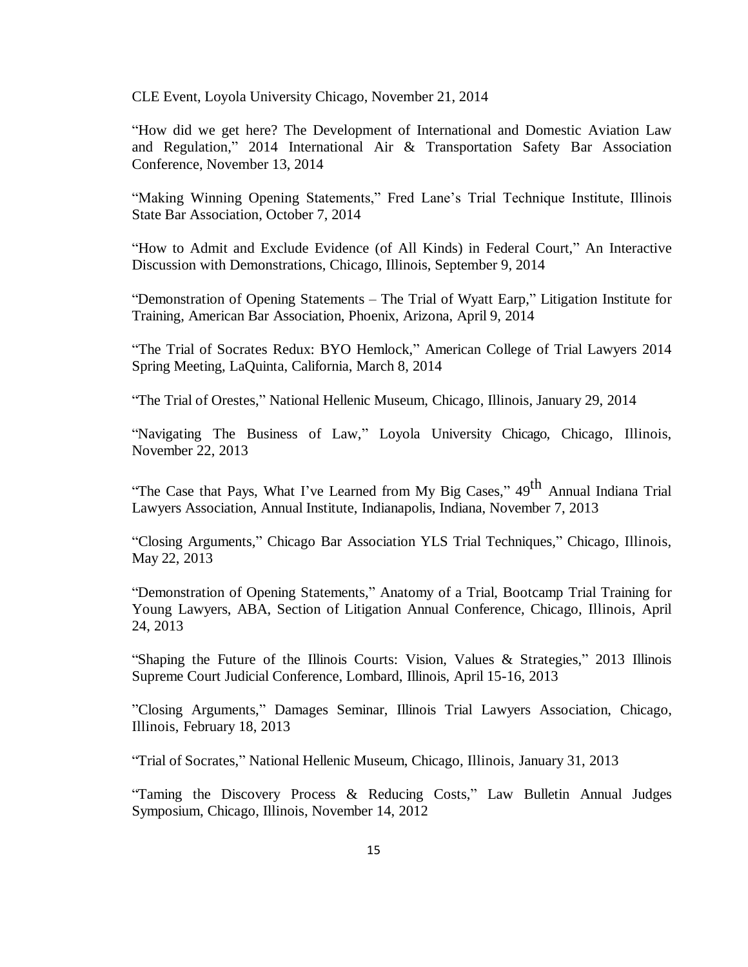CLE Event, Loyola University Chicago, November 21, 2014

"How did we get here? The Development of International and Domestic Aviation Law and Regulation," 2014 International Air & Transportation Safety Bar Association Conference, November 13, 2014

"Making Winning Opening Statements," Fred Lane's Trial Technique Institute, Illinois State Bar Association, October 7, 2014

"How to Admit and Exclude Evidence (of All Kinds) in Federal Court," An Interactive Discussion with Demonstrations, Chicago, Illinois, September 9, 2014

"Demonstration of Opening Statements – The Trial of Wyatt Earp," Litigation Institute for Training, American Bar Association, Phoenix, Arizona, April 9, 2014

"The Trial of Socrates Redux: BYO Hemlock," American College of Trial Lawyers 2014 Spring Meeting, LaQuinta, California, March 8, 2014

"The Trial of Orestes," National Hellenic Museum, Chicago, Illinois, January 29, 2014

"Navigating The Business of Law," Loyola University Chicago, Chicago, Illinois, November 22, 2013

"The Case that Pays, What I've Learned from My Big Cases," 49<sup>th</sup> Annual Indiana Trial Lawyers Association, Annual Institute, Indianapolis, Indiana, November 7, 2013

"Closing Arguments," Chicago Bar Association YLS Trial Techniques," Chicago, Illinois, May 22, 2013

"Demonstration of Opening Statements," Anatomy of a Trial, Bootcamp Trial Training for Young Lawyers, ABA, Section of Litigation Annual Conference, Chicago, Illinois, April 24, 2013

"Shaping the Future of the Illinois Courts: Vision, Values & Strategies," 2013 Illinois Supreme Court Judicial Conference, Lombard, Illinois, April 15-16, 2013

"Closing Arguments," Damages Seminar, Illinois Trial Lawyers Association, Chicago, Illinois, February 18, 2013

"Trial of Socrates," National Hellenic Museum, Chicago, Illinois, January 31, 2013

"Taming the Discovery Process & Reducing Costs," Law Bulletin Annual Judges Symposium, Chicago, Illinois, November 14, 2012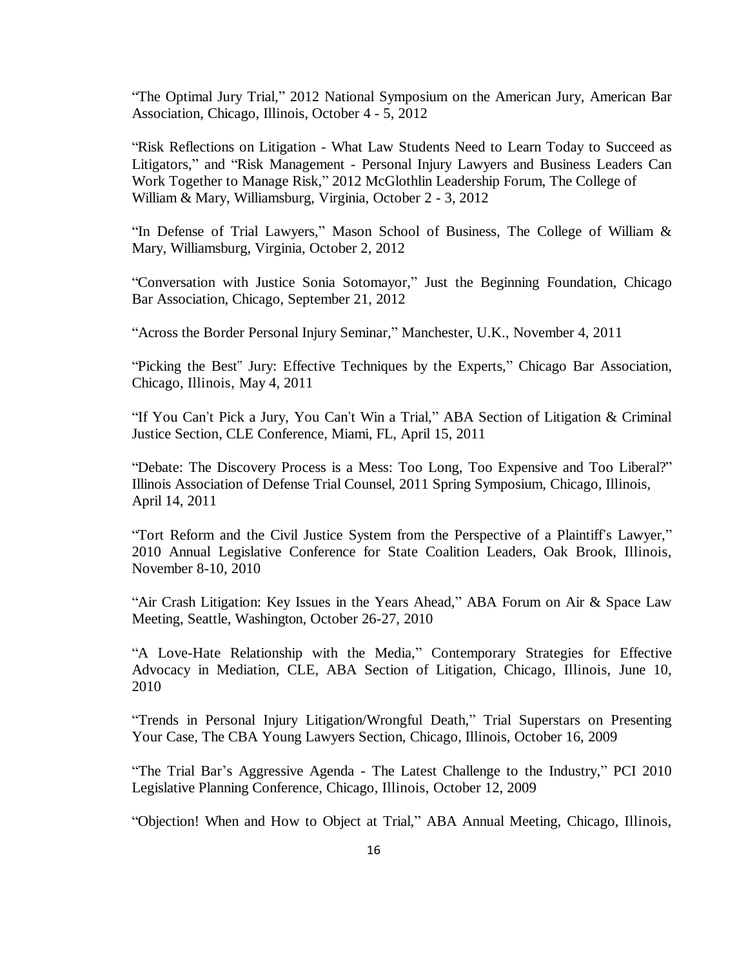"The Optimal Jury Trial," 2012 National Symposium on the American Jury, American Bar Association, Chicago, Illinois, October 4 - 5, 2012

"Risk Reflections on Litigation - What Law Students Need to Learn Today to Succeed as Litigators," and "Risk Management - Personal Injury Lawyers and Business Leaders Can Work Together to Manage Risk," 2012 McGlothlin Leadership Forum, The College of William & Mary, Williamsburg, Virginia, October 2 - 3, 2012

"In Defense of Trial Lawyers," Mason School of Business, The College of William & Mary, Williamsburg, Virginia, October 2, 2012

"Conversation with Justice Sonia Sotomayor," Just the Beginning Foundation, Chicago Bar Association, Chicago, September 21, 2012

"Across the Border Personal Injury Seminar," Manchester, U.K., November 4, 2011

"Picking the Best" Jury: Effective Techniques by the Experts," Chicago Bar Association, Chicago, Illinois, May 4, 2011

"If You Can't Pick a Jury, You Can't Win a Trial," ABA Section of Litigation & Criminal Justice Section, CLE Conference, Miami, FL, April 15, 2011

"Debate: The Discovery Process is a Mess: Too Long, Too Expensive and Too Liberal?" Illinois Association of Defense Trial Counsel, 2011 Spring Symposium, Chicago, Illinois, April 14, 2011

"Tort Reform and the Civil Justice System from the Perspective of a Plaintiff's Lawyer," 2010 Annual Legislative Conference for State Coalition Leaders, Oak Brook, Illinois, November 8-10, 2010

"Air Crash Litigation: Key Issues in the Years Ahead," ABA Forum on Air & Space Law Meeting, Seattle, Washington, October 26-27, 2010

"A Love-Hate Relationship with the Media," Contemporary Strategies for Effective Advocacy in Mediation, CLE, ABA Section of Litigation, Chicago, Illinois, June 10, 2010

"Trends in Personal Injury Litigation/Wrongful Death," Trial Superstars on Presenting Your Case, The CBA Young Lawyers Section, Chicago, Illinois, October 16, 2009

"The Trial Bar's Aggressive Agenda - The Latest Challenge to the Industry," PCI 2010 Legislative Planning Conference, Chicago, Illinois, October 12, 2009

"Objection! When and How to Object at Trial," ABA Annual Meeting, Chicago, Illinois,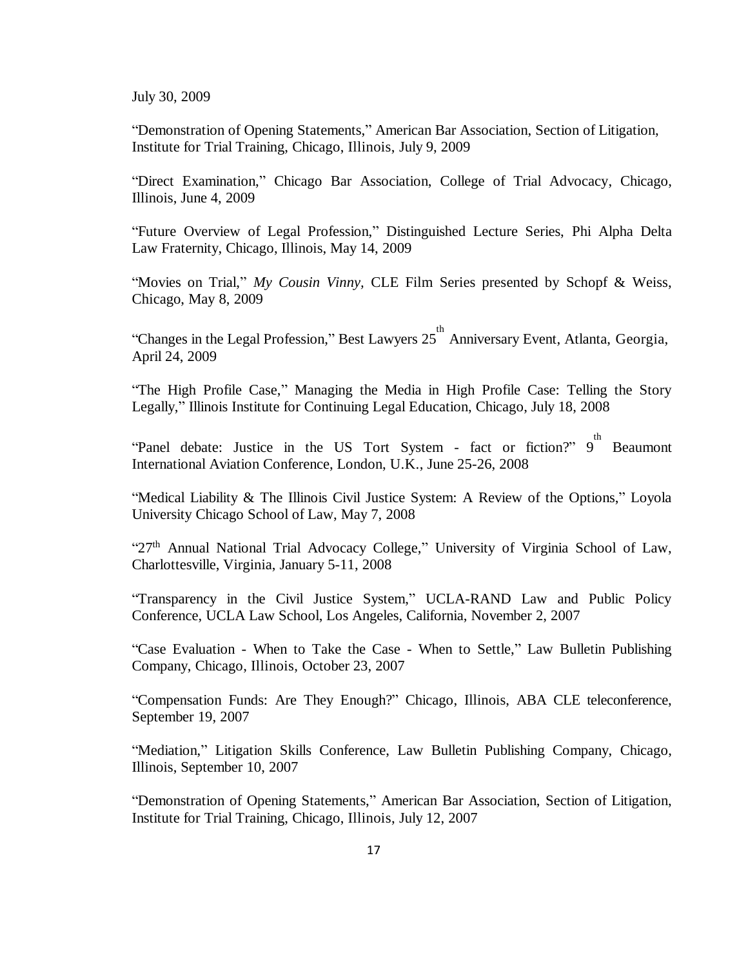July 30, 2009

"Demonstration of Opening Statements," American Bar Association, Section of Litigation, Institute for Trial Training, Chicago, Illinois, July 9, 2009

"Direct Examination," Chicago Bar Association, College of Trial Advocacy, Chicago, Illinois, June 4, 2009

"Future Overview of Legal Profession," Distinguished Lecture Series, Phi Alpha Delta Law Fraternity, Chicago, Illinois, May 14, 2009

"Movies on Trial," *My Cousin Vinny,* CLE Film Series presented by Schopf & Weiss, Chicago, May 8, 2009

"Changes in the Legal Profession," Best Lawyers 25<sup>th</sup> Anniversary Event, Atlanta, Georgia, April 24, 2009

"The High Profile Case," Managing the Media in High Profile Case: Telling the Story Legally," Illinois Institute for Continuing Legal Education, Chicago, July 18, 2008

"Panel debate: Justice in the US Tort System - fact or fiction?" 9<sup>th</sup> Beaumont International Aviation Conference, London, U.K., June 25-26, 2008

"Medical Liability & The Illinois Civil Justice System: A Review of the Options," Loyola University Chicago School of Law, May 7, 2008

"27<sup>th</sup> Annual National Trial Advocacy College," University of Virginia School of Law, Charlottesville, Virginia, January 5-11, 2008

"Transparency in the Civil Justice System," UCLA-RAND Law and Public Policy Conference, UCLA Law School, Los Angeles, California, November 2, 2007

"Case Evaluation - When to Take the Case - When to Settle," Law Bulletin Publishing Company, Chicago, Illinois, October 23, 2007

"Compensation Funds: Are They Enough?" Chicago, Illinois, ABA CLE teleconference, September 19, 2007

"Mediation," Litigation Skills Conference, Law Bulletin Publishing Company, Chicago, Illinois, September 10, 2007

"Demonstration of Opening Statements," American Bar Association, Section of Litigation, Institute for Trial Training, Chicago, Illinois, July 12, 2007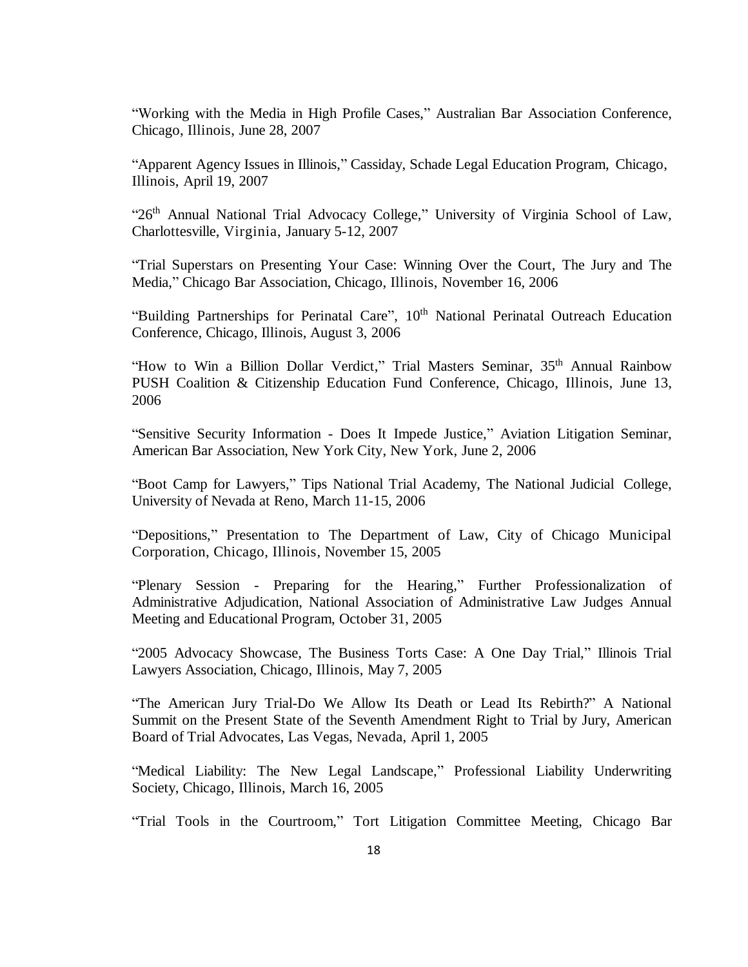"Working with the Media in High Profile Cases," Australian Bar Association Conference, Chicago, Illinois, June 28, 2007

"Apparent Agency Issues in Illinois," Cassiday, Schade Legal Education Program, Chicago, Illinois, April 19, 2007

"26<sup>th</sup> Annual National Trial Advocacy College," University of Virginia School of Law, Charlottesville, Virginia, January 5-12, 2007

"Trial Superstars on Presenting Your Case: Winning Over the Court, The Jury and The Media," Chicago Bar Association, Chicago, Illinois, November 16, 2006

"Building Partnerships for Perinatal Care", 10<sup>th</sup> National Perinatal Outreach Education Conference, Chicago, Illinois, August 3, 2006

"How to Win a Billion Dollar Verdict," Trial Masters Seminar, 35<sup>th</sup> Annual Rainbow PUSH Coalition & Citizenship Education Fund Conference, Chicago, Illinois, June 13, 2006

"Sensitive Security Information - Does It Impede Justice," Aviation Litigation Seminar, American Bar Association, New York City, New York, June 2, 2006

"Boot Camp for Lawyers," Tips National Trial Academy, The National Judicial College, University of Nevada at Reno, March 11-15, 2006

"Depositions," Presentation to The Department of Law, City of Chicago Municipal Corporation, Chicago, Illinois, November 15, 2005

"Plenary Session - Preparing for the Hearing," Further Professionalization of Administrative Adjudication, National Association of Administrative Law Judges Annual Meeting and Educational Program, October 31, 2005

"2005 Advocacy Showcase, The Business Torts Case: A One Day Trial," Illinois Trial Lawyers Association, Chicago, Illinois, May 7, 2005

"The American Jury Trial-Do We Allow Its Death or Lead Its Rebirth?" A National Summit on the Present State of the Seventh Amendment Right to Trial by Jury, American Board of Trial Advocates, Las Vegas, Nevada, April 1, 2005

"Medical Liability: The New Legal Landscape," Professional Liability Underwriting Society, Chicago, Illinois, March 16, 2005

"Trial Tools in the Courtroom," Tort Litigation Committee Meeting, Chicago Bar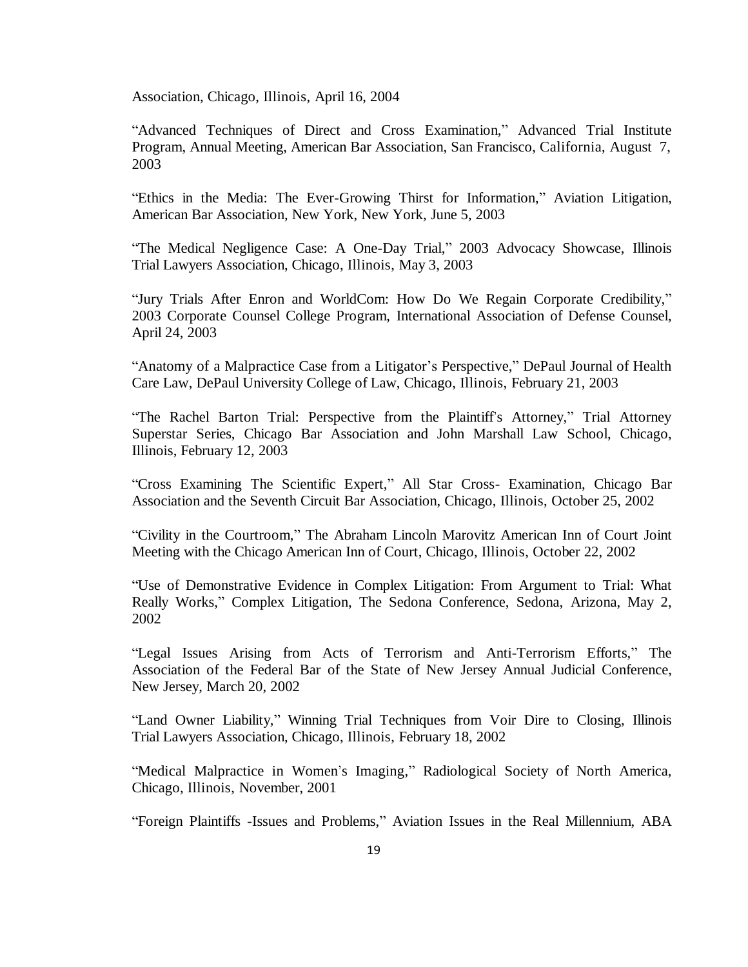Association, Chicago, Illinois, April 16, 2004

"Advanced Techniques of Direct and Cross Examination," Advanced Trial Institute Program, Annual Meeting, American Bar Association, San Francisco, California, August 7, 2003

"Ethics in the Media: The Ever-Growing Thirst for Information," Aviation Litigation, American Bar Association, New York, New York, June 5, 2003

"The Medical Negligence Case: A One-Day Trial," 2003 Advocacy Showcase, Illinois Trial Lawyers Association, Chicago, Illinois, May 3, 2003

"Jury Trials After Enron and WorldCom: How Do We Regain Corporate Credibility," 2003 Corporate Counsel College Program, International Association of Defense Counsel, April 24, 2003

"Anatomy of a Malpractice Case from a Litigator's Perspective," DePaul Journal of Health Care Law, DePaul University College of Law, Chicago, Illinois, February 21, 2003

"The Rachel Barton Trial: Perspective from the Plaintiff's Attorney," Trial Attorney Superstar Series, Chicago Bar Association and John Marshall Law School, Chicago, Illinois, February 12, 2003

"Cross Examining The Scientific Expert," All Star Cross- Examination, Chicago Bar Association and the Seventh Circuit Bar Association, Chicago, Illinois, October 25, 2002

"Civility in the Courtroom," The Abraham Lincoln Marovitz American Inn of Court Joint Meeting with the Chicago American Inn of Court, Chicago, Illinois, October 22, 2002

"Use of Demonstrative Evidence in Complex Litigation: From Argument to Trial: What Really Works," Complex Litigation, The Sedona Conference, Sedona, Arizona, May 2, 2002

"Legal Issues Arising from Acts of Terrorism and Anti-Terrorism Efforts," The Association of the Federal Bar of the State of New Jersey Annual Judicial Conference, New Jersey, March 20, 2002

"Land Owner Liability," Winning Trial Techniques from Voir Dire to Closing, Illinois Trial Lawyers Association, Chicago, Illinois, February 18, 2002

"Medical Malpractice in Women's Imaging," Radiological Society of North America, Chicago, Illinois, November, 2001

"Foreign Plaintiffs -Issues and Problems," Aviation Issues in the Real Millennium, ABA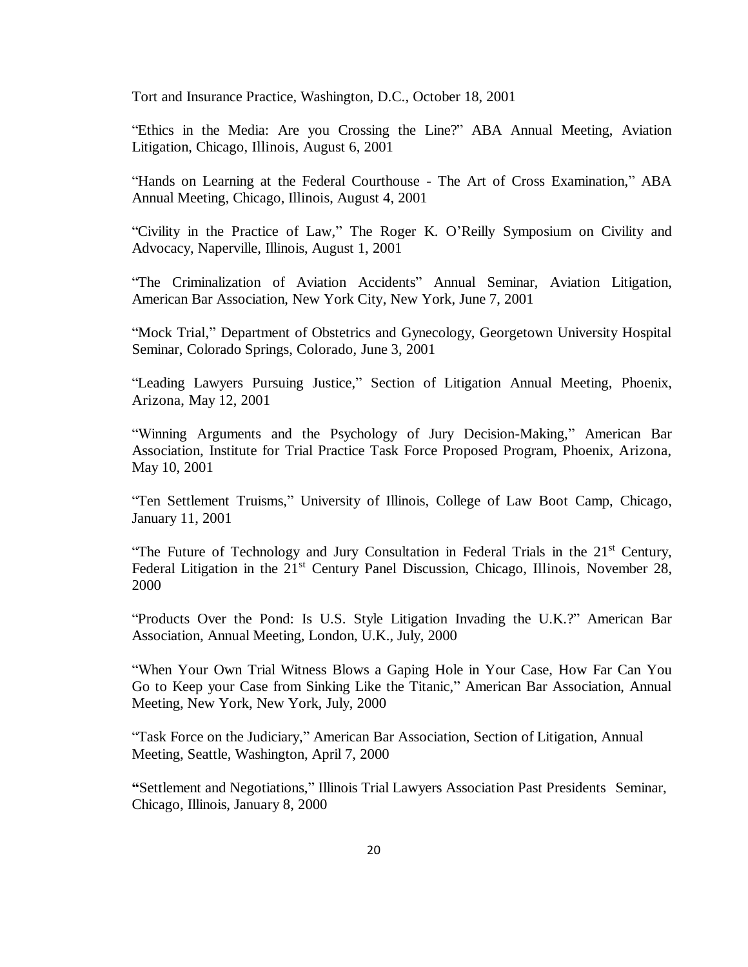Tort and Insurance Practice, Washington, D.C., October 18, 2001

"Ethics in the Media: Are you Crossing the Line?" ABA Annual Meeting, Aviation Litigation, Chicago, Illinois, August 6, 2001

"Hands on Learning at the Federal Courthouse - The Art of Cross Examination," ABA Annual Meeting, Chicago, Illinois, August 4, 2001

"Civility in the Practice of Law," The Roger K. O'Reilly Symposium on Civility and Advocacy, Naperville, Illinois, August 1, 2001

"The Criminalization of Aviation Accidents" Annual Seminar, Aviation Litigation, American Bar Association, New York City, New York, June 7, 2001

"Mock Trial," Department of Obstetrics and Gynecology, Georgetown University Hospital Seminar, Colorado Springs, Colorado, June 3, 2001

"Leading Lawyers Pursuing Justice," Section of Litigation Annual Meeting, Phoenix, Arizona, May 12, 2001

"Winning Arguments and the Psychology of Jury Decision-Making," American Bar Association, Institute for Trial Practice Task Force Proposed Program, Phoenix, Arizona, May 10, 2001

"Ten Settlement Truisms," University of Illinois, College of Law Boot Camp, Chicago, January 11, 2001

"The Future of Technology and Jury Consultation in Federal Trials in the 21<sup>st</sup> Century, Federal Litigation in the 21<sup>st</sup> Century Panel Discussion, Chicago, Illinois, November 28, 2000

"Products Over the Pond: Is U.S. Style Litigation Invading the U.K.?" American Bar Association, Annual Meeting, London, U.K., July, 2000

"When Your Own Trial Witness Blows a Gaping Hole in Your Case, How Far Can You Go to Keep your Case from Sinking Like the Titanic," American Bar Association, Annual Meeting, New York, New York, July, 2000

"Task Force on the Judiciary," American Bar Association, Section of Litigation, Annual Meeting, Seattle, Washington, April 7, 2000

**"**Settlement and Negotiations," Illinois Trial Lawyers Association Past Presidents Seminar, Chicago, Illinois, January 8, 2000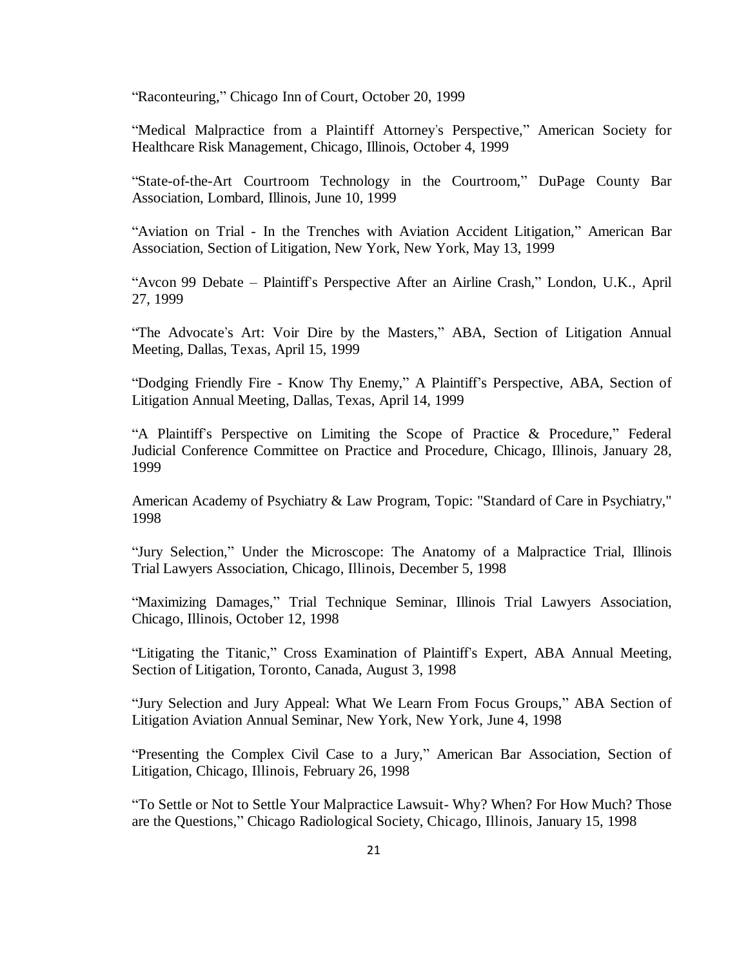"Raconteuring," Chicago Inn of Court, October 20, 1999

"Medical Malpractice from a Plaintiff Attorney's Perspective," American Society for Healthcare Risk Management, Chicago, Illinois, October 4, 1999

"State-of-the-Art Courtroom Technology in the Courtroom," DuPage County Bar Association, Lombard, Illinois, June 10, 1999

"Aviation on Trial - In the Trenches with Aviation Accident Litigation," American Bar Association, Section of Litigation, New York, New York, May 13, 1999

"Avcon 99 Debate – Plaintiff's Perspective After an Airline Crash," London, U.K., April 27, 1999

"The Advocate's Art: Voir Dire by the Masters," ABA, Section of Litigation Annual Meeting, Dallas, Texas, April 15, 1999

"Dodging Friendly Fire - Know Thy Enemy," A Plaintiff's Perspective, ABA, Section of Litigation Annual Meeting, Dallas, Texas, April 14, 1999

"A Plaintiff's Perspective on Limiting the Scope of Practice & Procedure," Federal Judicial Conference Committee on Practice and Procedure, Chicago, Illinois, January 28, 1999

American Academy of Psychiatry & Law Program, Topic: "Standard of Care in Psychiatry," 1998

"Jury Selection," Under the Microscope: The Anatomy of a Malpractice Trial, Illinois Trial Lawyers Association, Chicago, Illinois, December 5, 1998

"Maximizing Damages," Trial Technique Seminar, Illinois Trial Lawyers Association, Chicago, Illinois, October 12, 1998

"Litigating the Titanic," Cross Examination of Plaintiff's Expert, ABA Annual Meeting, Section of Litigation, Toronto, Canada, August 3, 1998

"Jury Selection and Jury Appeal: What We Learn From Focus Groups," ABA Section of Litigation Aviation Annual Seminar, New York, New York, June 4, 1998

"Presenting the Complex Civil Case to a Jury," American Bar Association, Section of Litigation, Chicago, Illinois, February 26, 1998

"To Settle or Not to Settle Your Malpractice Lawsuit- Why? When? For How Much? Those are the Questions," Chicago Radiological Society, Chicago, Illinois, January 15, 1998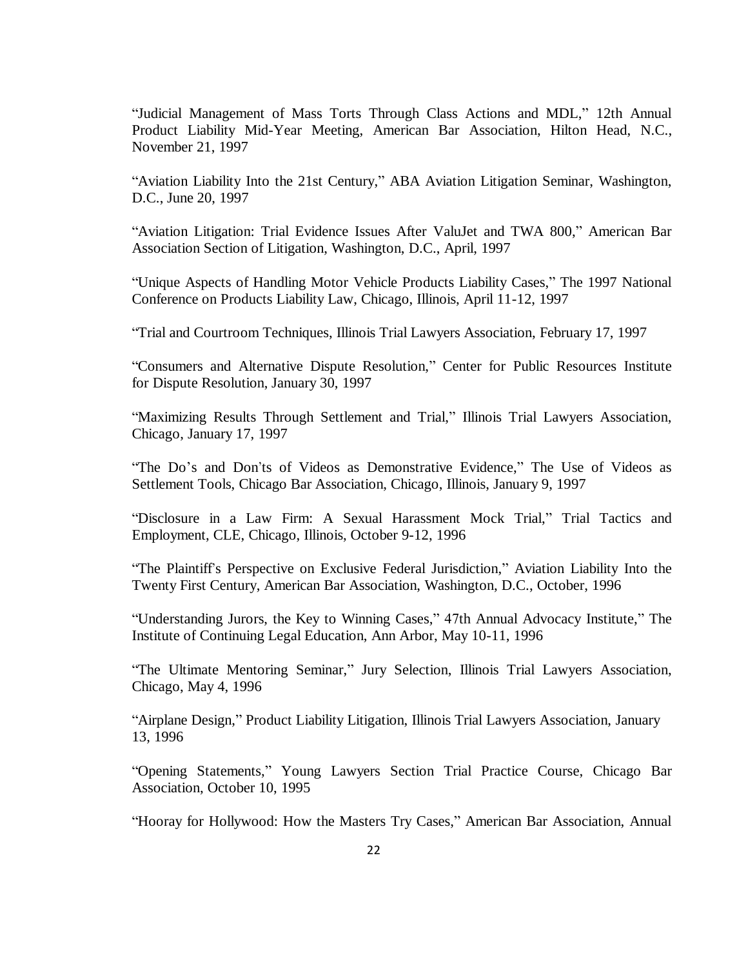"Judicial Management of Mass Torts Through Class Actions and MDL," 12th Annual Product Liability Mid-Year Meeting, American Bar Association, Hilton Head, N.C., November 21, 1997

"Aviation Liability Into the 21st Century," ABA Aviation Litigation Seminar, Washington, D.C., June 20, 1997

"Aviation Litigation: Trial Evidence Issues After ValuJet and TWA 800," American Bar Association Section of Litigation, Washington, D.C., April, 1997

"Unique Aspects of Handling Motor Vehicle Products Liability Cases," The 1997 National Conference on Products Liability Law, Chicago, Illinois, April 11-12, 1997

"Trial and Courtroom Techniques, Illinois Trial Lawyers Association, February 17, 1997

"Consumers and Alternative Dispute Resolution," Center for Public Resources Institute for Dispute Resolution, January 30, 1997

"Maximizing Results Through Settlement and Trial," Illinois Trial Lawyers Association, Chicago, January 17, 1997

"The Do's and Don'ts of Videos as Demonstrative Evidence," The Use of Videos as Settlement Tools, Chicago Bar Association, Chicago, Illinois, January 9, 1997

"Disclosure in a Law Firm: A Sexual Harassment Mock Trial," Trial Tactics and Employment, CLE, Chicago, Illinois, October 9-12, 1996

"The Plaintiff's Perspective on Exclusive Federal Jurisdiction," Aviation Liability Into the Twenty First Century, American Bar Association, Washington, D.C., October, 1996

"Understanding Jurors, the Key to Winning Cases," 47th Annual Advocacy Institute," The Institute of Continuing Legal Education, Ann Arbor, May 10-11, 1996

"The Ultimate Mentoring Seminar," Jury Selection, Illinois Trial Lawyers Association, Chicago, May 4, 1996

"Airplane Design," Product Liability Litigation, Illinois Trial Lawyers Association, January 13, 1996

"Opening Statements," Young Lawyers Section Trial Practice Course, Chicago Bar Association, October 10, 1995

"Hooray for Hollywood: How the Masters Try Cases," American Bar Association, Annual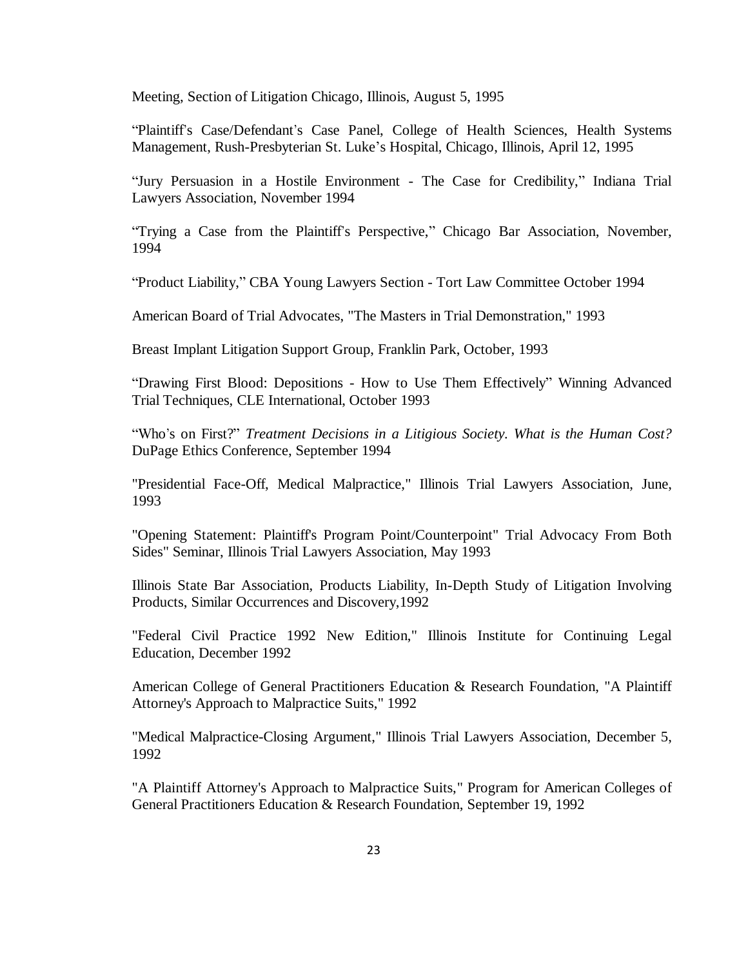Meeting, Section of Litigation Chicago, Illinois, August 5, 1995

"Plaintiff's Case/Defendant's Case Panel, College of Health Sciences, Health Systems Management, Rush-Presbyterian St. Luke's Hospital, Chicago, Illinois, April 12, 1995

"Jury Persuasion in a Hostile Environment - The Case for Credibility," Indiana Trial Lawyers Association, November 1994

"Trying a Case from the Plaintiff's Perspective," Chicago Bar Association, November, 1994

"Product Liability," CBA Young Lawyers Section - Tort Law Committee October 1994

American Board of Trial Advocates, "The Masters in Trial Demonstration," 1993

Breast Implant Litigation Support Group, Franklin Park, October, 1993

"Drawing First Blood: Depositions - How to Use Them Effectively" Winning Advanced Trial Techniques, CLE International, October 1993

"Who's on First?" *Treatment Decisions in a Litigious Society. What is the Human Cost?* DuPage Ethics Conference, September 1994

"Presidential Face-Off, Medical Malpractice," Illinois Trial Lawyers Association, June, 1993

"Opening Statement: Plaintiff's Program Point/Counterpoint" Trial Advocacy From Both Sides" Seminar, Illinois Trial Lawyers Association, May 1993

Illinois State Bar Association, Products Liability, In-Depth Study of Litigation Involving Products, Similar Occurrences and Discovery,1992

"Federal Civil Practice 1992 New Edition," Illinois Institute for Continuing Legal Education, December 1992

American College of General Practitioners Education & Research Foundation, "A Plaintiff Attorney's Approach to Malpractice Suits," 1992

"Medical Malpractice-Closing Argument," Illinois Trial Lawyers Association, December 5, 1992

"A Plaintiff Attorney's Approach to Malpractice Suits," Program for American Colleges of General Practitioners Education & Research Foundation, September 19, 1992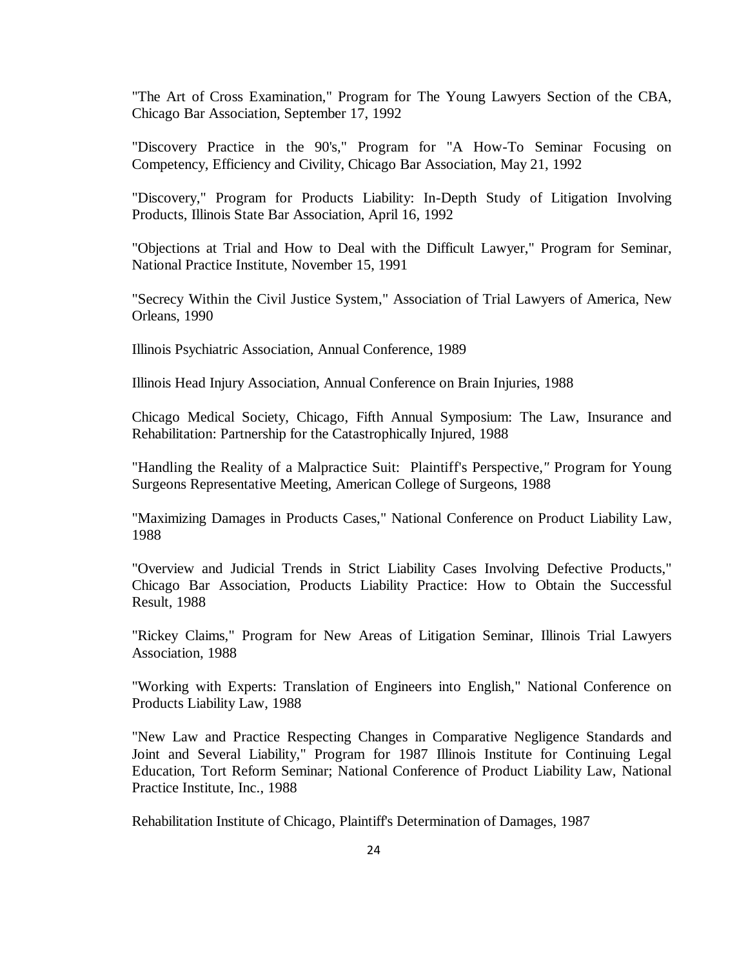"The Art of Cross Examination," Program for The Young Lawyers Section of the CBA, Chicago Bar Association, September 17, 1992

"Discovery Practice in the 90's," Program for "A How-To Seminar Focusing on Competency, Efficiency and Civility, Chicago Bar Association, May 21, 1992

"Discovery," Program for Products Liability: In-Depth Study of Litigation Involving Products, Illinois State Bar Association, April 16, 1992

"Objections at Trial and How to Deal with the Difficult Lawyer," Program for Seminar, National Practice Institute, November 15, 1991

"Secrecy Within the Civil Justice System," Association of Trial Lawyers of America, New Orleans, 1990

Illinois Psychiatric Association, Annual Conference, 1989

Illinois Head Injury Association, Annual Conference on Brain Injuries, 1988

Chicago Medical Society, Chicago, Fifth Annual Symposium: The Law, Insurance and Rehabilitation: Partnership for the Catastrophically Injured, 1988

"Handling the Reality of a Malpractice Suit: Plaintiff's Perspective*,"* Program for Young Surgeons Representative Meeting, American College of Surgeons, 1988

"Maximizing Damages in Products Cases," National Conference on Product Liability Law, 1988

"Overview and Judicial Trends in Strict Liability Cases Involving Defective Products," Chicago Bar Association, Products Liability Practice: How to Obtain the Successful Result, 1988

"Rickey Claims," Program for New Areas of Litigation Seminar, Illinois Trial Lawyers Association, 1988

"Working with Experts: Translation of Engineers into English," National Conference on Products Liability Law, 1988

"New Law and Practice Respecting Changes in Comparative Negligence Standards and Joint and Several Liability," Program for 1987 Illinois Institute for Continuing Legal Education, Tort Reform Seminar; National Conference of Product Liability Law, National Practice Institute, Inc., 1988

Rehabilitation Institute of Chicago, Plaintiff's Determination of Damages, 1987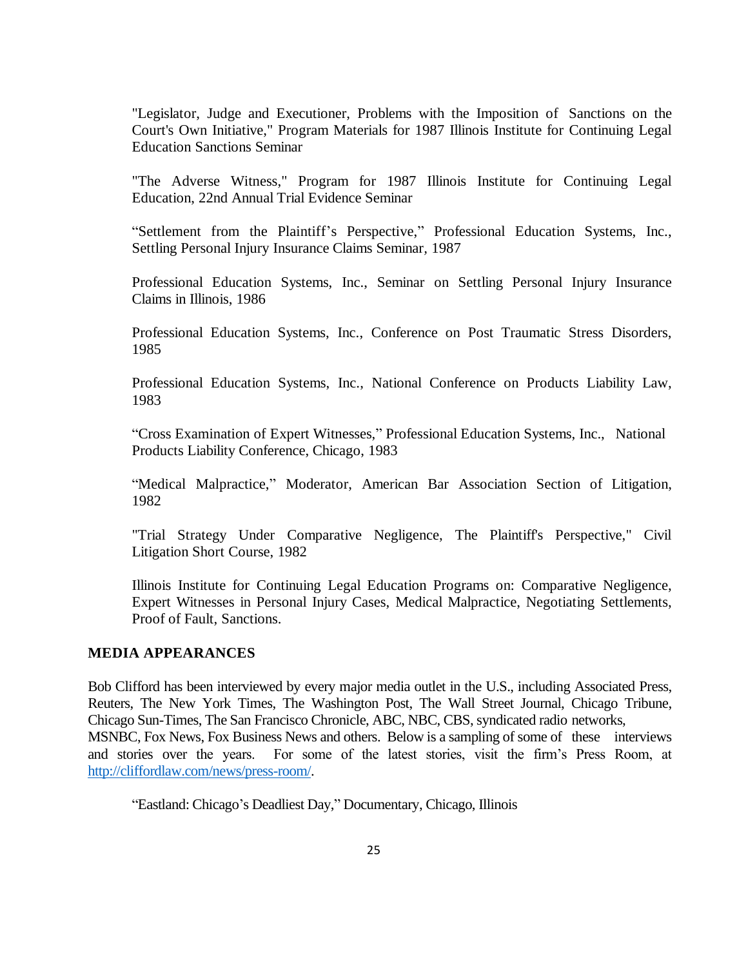"Legislator, Judge and Executioner, Problems with the Imposition of Sanctions on the Court's Own Initiative," Program Materials for 1987 Illinois Institute for Continuing Legal Education Sanctions Seminar

"The Adverse Witness," Program for 1987 Illinois Institute for Continuing Legal Education, 22nd Annual Trial Evidence Seminar

"Settlement from the Plaintiff's Perspective," Professional Education Systems, Inc., Settling Personal Injury Insurance Claims Seminar*,* 1987

Professional Education Systems, Inc., Seminar on Settling Personal Injury Insurance Claims in Illinois, 1986

Professional Education Systems, Inc., Conference on Post Traumatic Stress Disorders, 1985

Professional Education Systems, Inc., National Conference on Products Liability Law, 1983

"Cross Examination of Expert Witnesses," Professional Education Systems, Inc., National Products Liability Conference, Chicago, 1983

"Medical Malpractice," Moderator, American Bar Association Section of Litigation, 1982

"Trial Strategy Under Comparative Negligence, The Plaintiff's Perspective," Civil Litigation Short Course, 1982

Illinois Institute for Continuing Legal Education Programs on: Comparative Negligence, Expert Witnesses in Personal Injury Cases, Medical Malpractice, Negotiating Settlements, Proof of Fault, Sanctions.

## **MEDIA APPEARANCES**

Bob Clifford has been interviewed by every major media outlet in the U.S., including Associated Press, Reuters, The New York Times, The Washington Post, The Wall Street Journal, Chicago Tribune, Chicago Sun-Times, The San Francisco Chronicle, ABC, NBC, CBS, syndicated radio networks, MSNBC, Fox News, Fox Business News and others. Below is a sampling of some of these interviews and stories over the years. For some of the latest stories, visit the firm's Press Room, at [http://cliffordlaw.com/news/press-room/.](http://cliffordlaw.com/news/press-room/)

"Eastland: Chicago's Deadliest Day," Documentary, Chicago, Illinois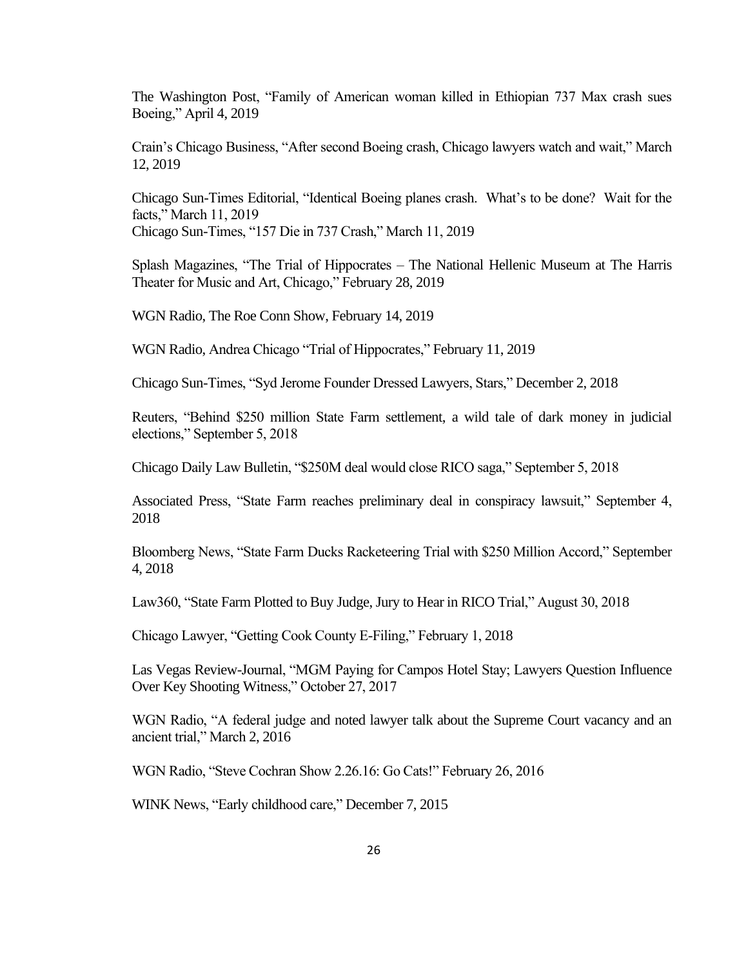The Washington Post, "Family of American woman killed in Ethiopian 737 Max crash sues Boeing," April 4, 2019

Crain's Chicago Business, "After second Boeing crash, Chicago lawyers watch and wait," March 12, 2019

Chicago Sun-Times Editorial, "Identical Boeing planes crash. What's to be done? Wait for the facts," March 11, 2019 Chicago Sun-Times, "157 Die in 737 Crash," March 11, 2019

Splash Magazines, "The Trial of Hippocrates – The National Hellenic Museum at The Harris Theater for Music and Art, Chicago," February 28, 2019

WGN Radio, The Roe Conn Show, February 14, 2019

WGN Radio, Andrea Chicago "Trial of Hippocrates," February 11, 2019

Chicago Sun-Times, "Syd Jerome Founder Dressed Lawyers, Stars," December 2, 2018

Reuters, "Behind \$250 million State Farm settlement, a wild tale of dark money in judicial elections," September 5, 2018

Chicago Daily Law Bulletin, "\$250M deal would close RICO saga," September 5, 2018

Associated Press, "State Farm reaches preliminary deal in conspiracy lawsuit," September 4, 2018

Bloomberg News, "State Farm Ducks Racketeering Trial with \$250 Million Accord," September 4, 2018

Law360, "State Farm Plotted to Buy Judge, Jury to Hear in RICO Trial," August 30, 2018

Chicago Lawyer, "Getting Cook County E-Filing," February 1, 2018

Las Vegas Review-Journal, "MGM Paying for Campos Hotel Stay; Lawyers Question Influence Over Key Shooting Witness," October 27, 2017

WGN Radio, "A federal judge and noted lawyer talk about the Supreme Court vacancy and an ancient trial," March 2, 2016

WGN Radio, "Steve Cochran Show 2.26.16: Go Cats!" February 26, 2016

WINK News, "Early childhood care," December 7, 2015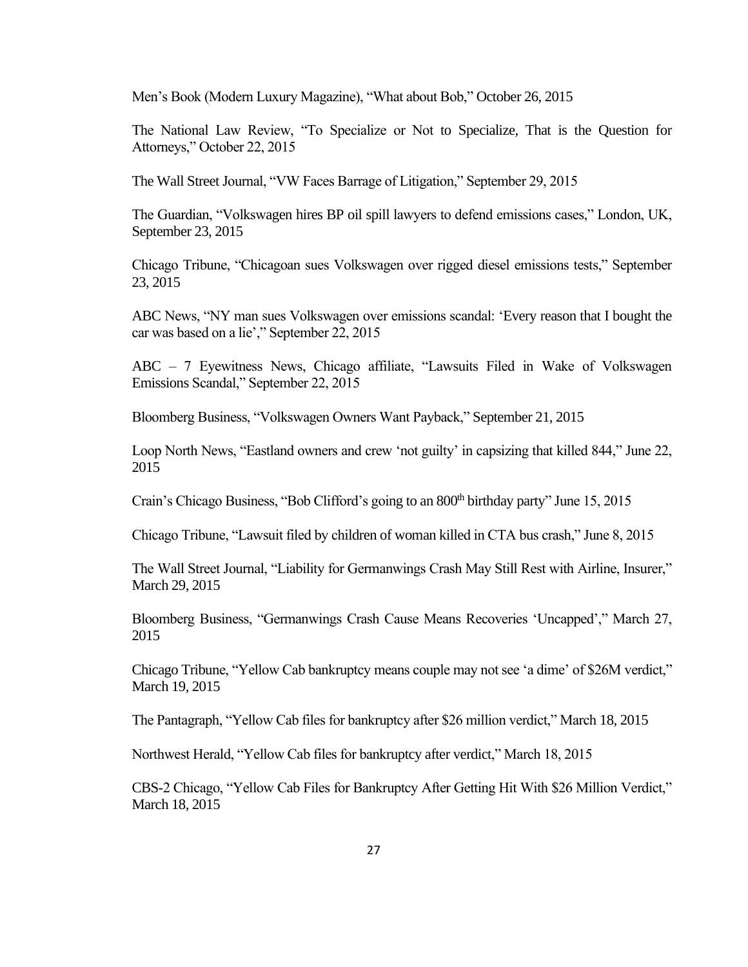Men's Book (Modern Luxury Magazine), "What about Bob," October 26, 2015

The National Law Review, "To Specialize or Not to Specialize, That is the Question for Attorneys," October 22, 2015

The Wall Street Journal, "VW Faces Barrage of Litigation," September 29, 2015

The Guardian, "Volkswagen hires BP oil spill lawyers to defend emissions cases," London, UK, September 23, 2015

Chicago Tribune, "Chicagoan sues Volkswagen over rigged diesel emissions tests," September 23, 2015

ABC News, "NY man sues Volkswagen over emissions scandal: 'Every reason that I bought the car was based on a lie'," September 22, 2015

ABC – 7 Eyewitness News, Chicago affiliate, "Lawsuits Filed in Wake of Volkswagen Emissions Scandal," September 22, 2015

Bloomberg Business, "Volkswagen Owners Want Payback," September 21, 2015

Loop North News, "Eastland owners and crew 'not guilty' in capsizing that killed 844," June 22, 2015

Crain's Chicago Business, "Bob Clifford's going to an 800<sup>th</sup> birthday party" June 15, 2015

Chicago Tribune, "Lawsuit filed by children of woman killed in CTA bus crash," June 8, 2015

The Wall Street Journal, "Liability for Germanwings Crash May Still Rest with Airline, Insurer," March 29, 2015

Bloomberg Business, "Germanwings Crash Cause Means Recoveries 'Uncapped'," March 27, 2015

Chicago Tribune, "Yellow Cab bankruptcy means couple may not see 'a dime' of \$26M verdict," March 19, 2015

The Pantagraph, "Yellow Cab files for bankruptcy after \$26 million verdict," March 18, 2015

Northwest Herald, "Yellow Cab files for bankruptcy after verdict," March 18, 2015

CBS-2 Chicago, "Yellow Cab Files for Bankruptcy After Getting Hit With \$26 Million Verdict," March 18, 2015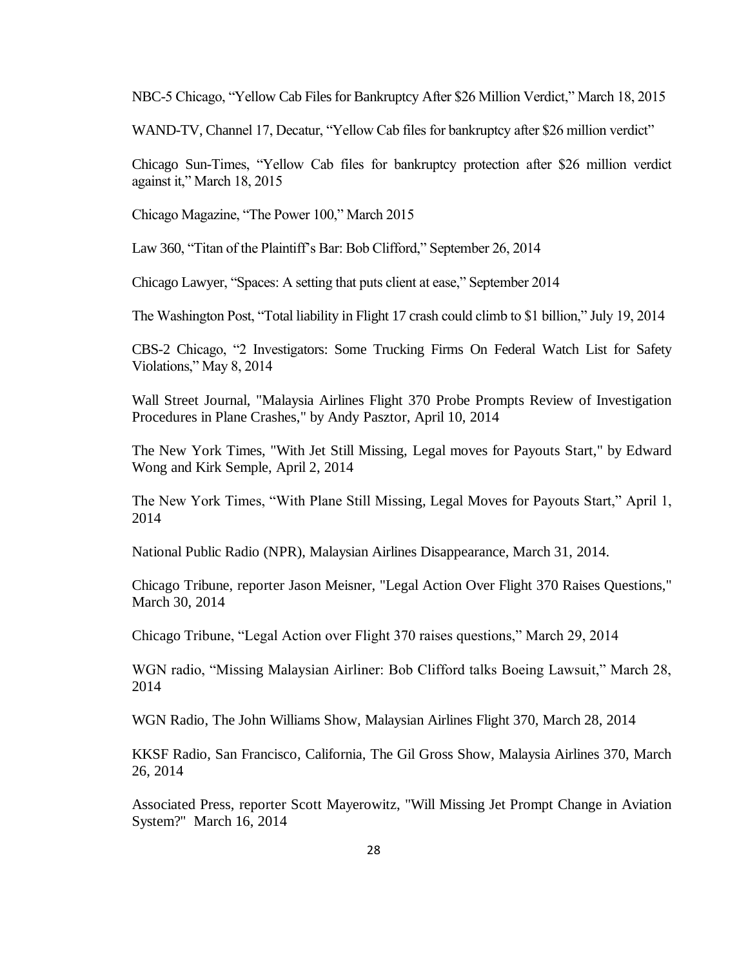NBC-5 Chicago, "Yellow Cab Files for Bankruptcy After \$26 Million Verdict," March 18, 2015

WAND-TV, Channel 17, Decatur, "Yellow Cab files for bankruptcy after \$26 million verdict"

Chicago Sun-Times, "Yellow Cab files for bankruptcy protection after \$26 million verdict against it," March 18, 2015

Chicago Magazine, "The Power 100," March 2015

Law 360, "Titan of the Plaintiff's Bar: Bob Clifford," September 26, 2014

Chicago Lawyer, "Spaces: A setting that puts client at ease," September 2014

The Washington Post, "Total liability in Flight 17 crash could climb to \$1 billion," July 19, 2014

CBS-2 Chicago, "2 Investigators: Some Trucking Firms On Federal Watch List for Safety Violations," May 8, 2014

Wall Street Journal, "Malaysia Airlines Flight 370 Probe Prompts Review of Investigation Procedures in Plane Crashes," by Andy Pasztor, April 10, 2014

The New York Times, "With Jet Still Missing, Legal moves for Payouts Start," by Edward Wong and Kirk Semple, April 2, 2014

The New York Times, "With Plane Still Missing, Legal Moves for Payouts Start," April 1, 2014

National Public Radio (NPR), Malaysian Airlines Disappearance, March 31, 2014.

Chicago Tribune, reporter Jason Meisner, "Legal Action Over Flight 370 Raises Questions," March 30, 2014

Chicago Tribune, "Legal Action over Flight 370 raises questions," March 29, 2014

WGN radio, "Missing Malaysian Airliner: Bob Clifford talks Boeing Lawsuit," March 28, 2014

WGN Radio, The John Williams Show, Malaysian Airlines Flight 370, March 28, 2014

KKSF Radio, San Francisco, California, The Gil Gross Show, Malaysia Airlines 370, March 26, 2014

Associated Press, reporter Scott Mayerowitz, "Will Missing Jet Prompt Change in Aviation System?" March 16, 2014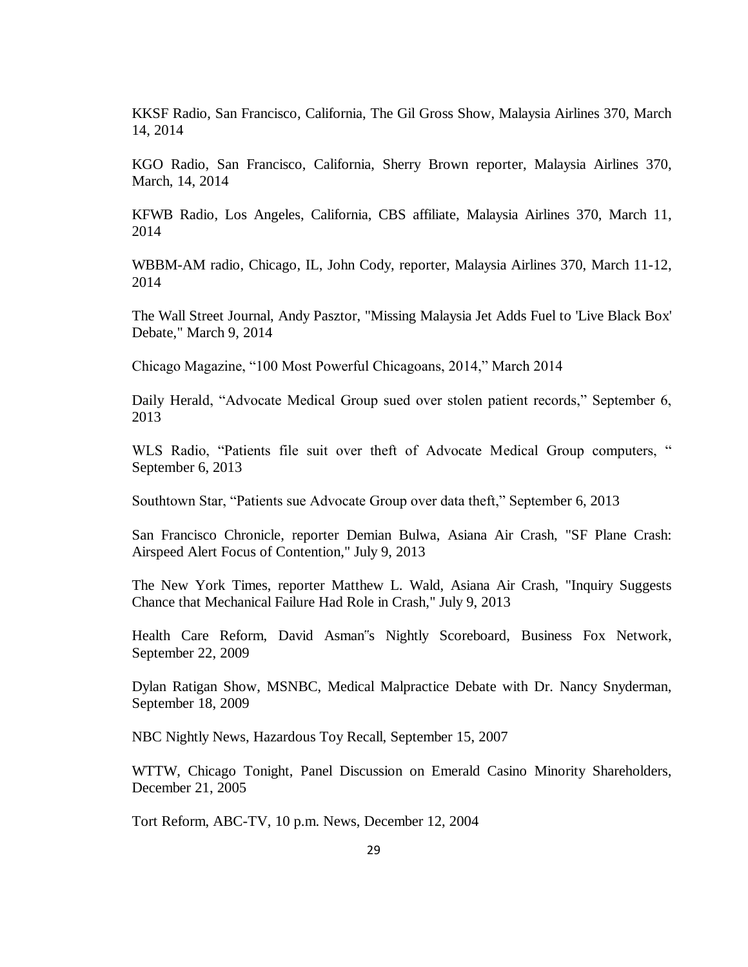KKSF Radio, San Francisco, California, The Gil Gross Show, Malaysia Airlines 370, March 14, 2014

KGO Radio, San Francisco, California, Sherry Brown reporter, Malaysia Airlines 370, March, 14, 2014

KFWB Radio, Los Angeles, California, CBS affiliate, Malaysia Airlines 370, March 11, 2014

WBBM-AM radio, Chicago, IL, John Cody, reporter, Malaysia Airlines 370, March 11-12, 2014

The Wall Street Journal, Andy Pasztor, "Missing Malaysia Jet Adds Fuel to 'Live Black Box' Debate," March 9, 2014

Chicago Magazine, "100 Most Powerful Chicagoans, 2014," March 2014

Daily Herald, "Advocate Medical Group sued over stolen patient records," September 6, 2013

WLS Radio, "Patients file suit over theft of Advocate Medical Group computers, " September 6, 2013

Southtown Star, "Patients sue Advocate Group over data theft," September 6, 2013

San Francisco Chronicle, reporter Demian Bulwa, Asiana Air Crash, "SF Plane Crash: Airspeed Alert Focus of Contention," July 9, 2013

The New York Times, reporter Matthew L. Wald, Asiana Air Crash, "Inquiry Suggests Chance that Mechanical Failure Had Role in Crash," July 9, 2013

Health Care Reform, David Asman"s Nightly Scoreboard, Business Fox Network, September 22, 2009

Dylan Ratigan Show, MSNBC, Medical Malpractice Debate with Dr. Nancy Snyderman, September 18, 2009

NBC Nightly News, Hazardous Toy Recall, September 15, 2007

WTTW, Chicago Tonight, Panel Discussion on Emerald Casino Minority Shareholders, December 21, 2005

Tort Reform, ABC-TV, 10 p.m. News, December 12, 2004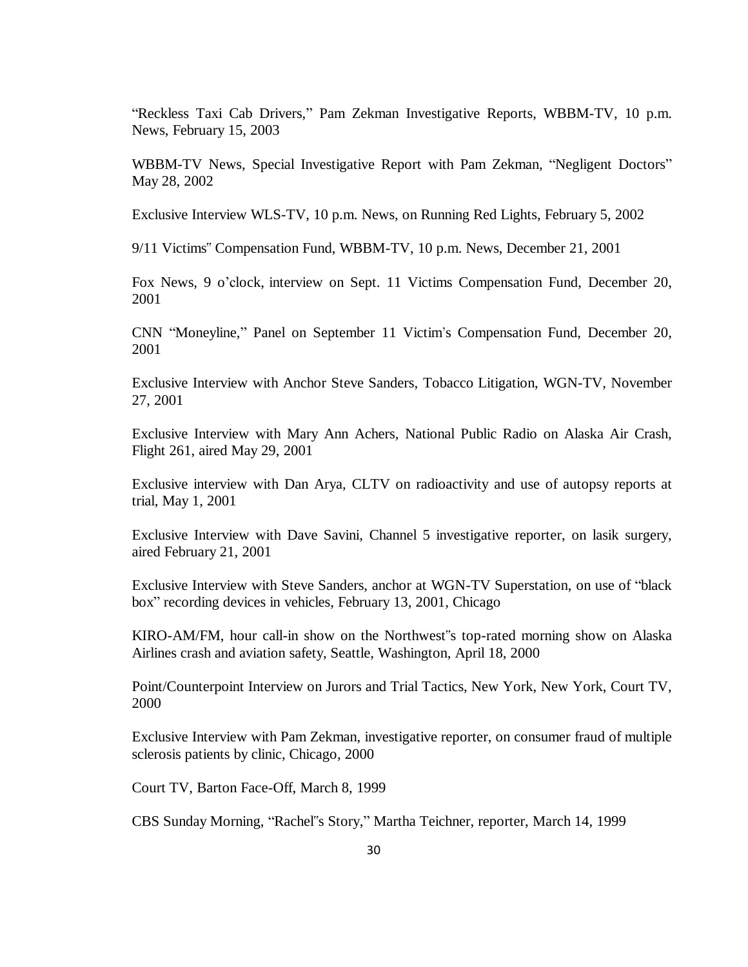"Reckless Taxi Cab Drivers," Pam Zekman Investigative Reports, WBBM-TV, 10 p.m. News, February 15, 2003

WBBM-TV News, Special Investigative Report with Pam Zekman, "Negligent Doctors" May 28, 2002

Exclusive Interview WLS-TV, 10 p.m. News, on Running Red Lights, February 5, 2002

9/11 Victims" Compensation Fund, WBBM-TV, 10 p.m. News, December 21, 2001

Fox News, 9 o'clock, interview on Sept. 11 Victims Compensation Fund, December 20, 2001

CNN "Moneyline," Panel on September 11 Victim's Compensation Fund, December 20, 2001

Exclusive Interview with Anchor Steve Sanders, Tobacco Litigation, WGN-TV, November 27, 2001

Exclusive Interview with Mary Ann Achers, National Public Radio on Alaska Air Crash, Flight 261, aired May 29, 2001

Exclusive interview with Dan Arya, CLTV on radioactivity and use of autopsy reports at trial, May 1, 2001

Exclusive Interview with Dave Savini, Channel 5 investigative reporter, on lasik surgery, aired February 21, 2001

Exclusive Interview with Steve Sanders, anchor at WGN-TV Superstation, on use of "black box" recording devices in vehicles, February 13, 2001, Chicago

KIRO-AM/FM, hour call-in show on the Northwest"s top-rated morning show on Alaska Airlines crash and aviation safety, Seattle, Washington, April 18, 2000

Point/Counterpoint Interview on Jurors and Trial Tactics, New York, New York, Court TV, 2000

Exclusive Interview with Pam Zekman, investigative reporter, on consumer fraud of multiple sclerosis patients by clinic, Chicago, 2000

Court TV, Barton Face-Off, March 8, 1999

CBS Sunday Morning, "Rachel"s Story," Martha Teichner, reporter, March 14, 1999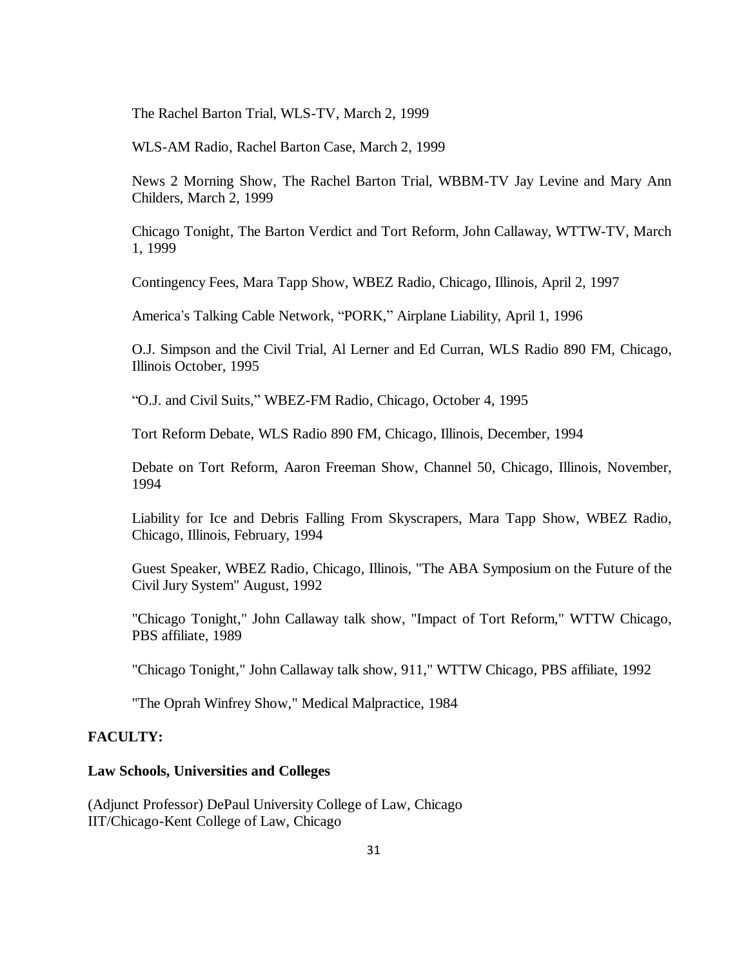The Rachel Barton Trial, WLS-TV, March 2, 1999

WLS-AM Radio, Rachel Barton Case, March 2, 1999

News 2 Morning Show, The Rachel Barton Trial, WBBM-TV Jay Levine and Mary Ann Childers, March 2, 1999

Chicago Tonight, The Barton Verdict and Tort Reform, John Callaway, WTTW-TV, March 1, 1999

Contingency Fees, Mara Tapp Show, WBEZ Radio, Chicago, Illinois, April 2, 1997

America's Talking Cable Network, "PORK," Airplane Liability, April 1, 1996

O.J. Simpson and the Civil Trial, Al Lerner and Ed Curran, WLS Radio 890 FM, Chicago, Illinois October, 1995

"O.J. and Civil Suits," WBEZ-FM Radio, Chicago, October 4, 1995

Tort Reform Debate, WLS Radio 890 FM, Chicago, Illinois, December, 1994

Debate on Tort Reform, Aaron Freeman Show, Channel 50, Chicago, Illinois, November, 1994

Liability for Ice and Debris Falling From Skyscrapers, Mara Tapp Show, WBEZ Radio, Chicago, Illinois, February, 1994

Guest Speaker, WBEZ Radio, Chicago, Illinois, "The ABA Symposium on the Future of the Civil Jury System" August, 1992

"Chicago Tonight," John Callaway talk show, "Impact of Tort Reform," WTTW Chicago, PBS affiliate, 1989

"Chicago Tonight," John Callaway talk show, 911," WTTW Chicago, PBS affiliate, 1992

"The Oprah Winfrey Show," Medical Malpractice, 1984

#### **FACULTY:**

#### **Law Schools, Universities and Colleges**

(Adjunct Professor) DePaul University College of Law, Chicago IIT/Chicago-Kent College of Law, Chicago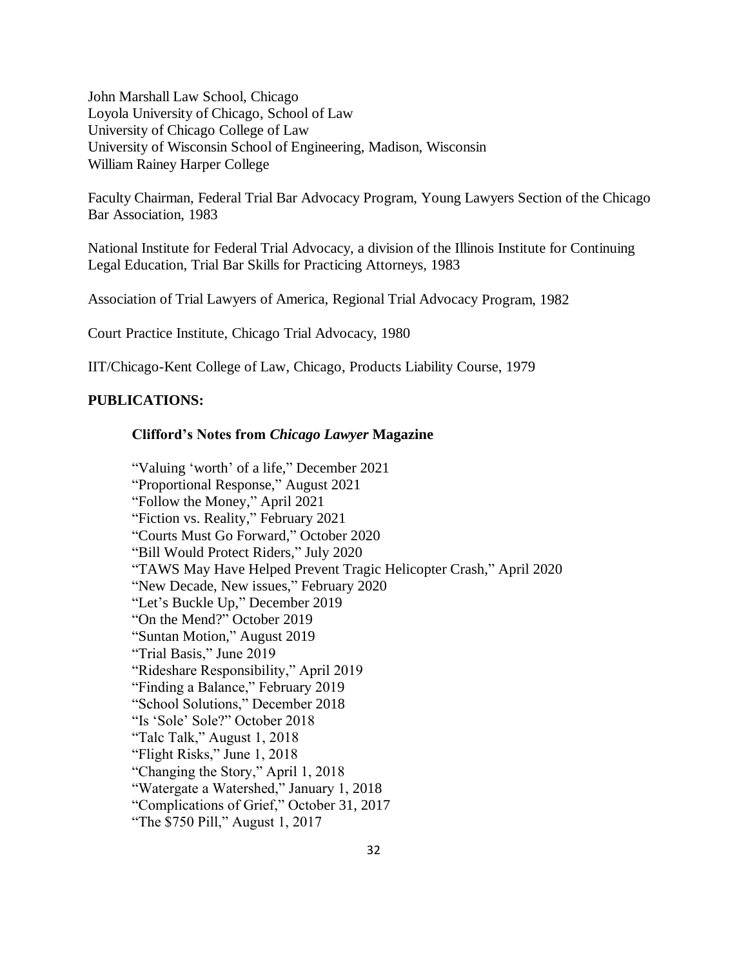John Marshall Law School, Chicago Loyola University of Chicago, School of Law University of Chicago College of Law University of Wisconsin School of Engineering, Madison, Wisconsin William Rainey Harper College

Faculty Chairman, Federal Trial Bar Advocacy Program, Young Lawyers Section of the Chicago Bar Association, 1983

National Institute for Federal Trial Advocacy, a division of the Illinois Institute for Continuing Legal Education, Trial Bar Skills for Practicing Attorneys, 1983

Association of Trial Lawyers of America, Regional Trial Advocacy Program, 1982

Court Practice Institute, Chicago Trial Advocacy, 1980

IIT/Chicago-Kent College of Law, Chicago, Products Liability Course, 1979

## **PUBLICATIONS:**

#### **Clifford's Notes from** *Chicago Lawyer* **Magazine**

"Valuing 'worth' of a life," December 2021 "Proportional Response," August 2021 "Follow the Money," April 2021 "Fiction vs. Reality," February 2021 "Courts Must Go Forward," October 2020 "Bill Would Protect Riders," July 2020 "TAWS May Have Helped Prevent Tragic Helicopter Crash," April 2020 "New Decade, New issues," February 2020 "Let's Buckle Up," December 2019 "On the Mend?" October 2019 "Suntan Motion," August 2019 "Trial Basis," June 2019 "Rideshare Responsibility," April 2019 "Finding a Balance," February 2019 "School Solutions," December 2018 "Is 'Sole' Sole?" October 2018 "Talc Talk," August 1, 2018 "Flight Risks," June 1, 2018 "Changing the Story," April 1, 2018 "Watergate a Watershed," January 1, 2018 "Complications of Grief," October 31, 2017 "The \$750 Pill," August 1, 2017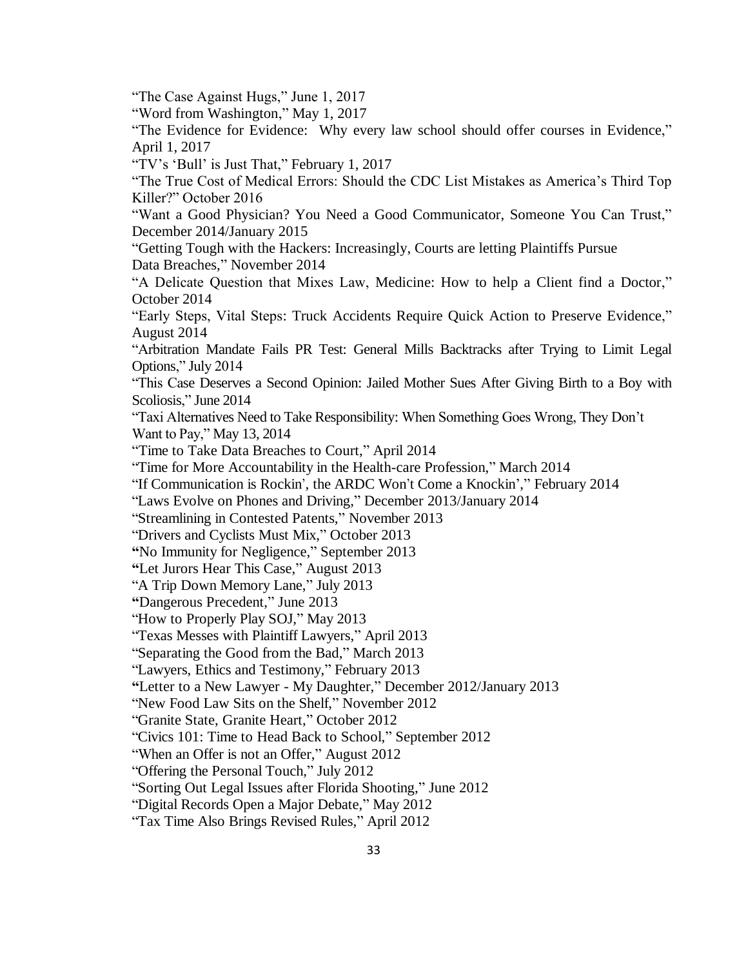"The Case Against Hugs," June 1, 2017

"Word from Washington," May 1, 2017

"The Evidence for Evidence: Why every law school should offer courses in Evidence," April 1, 2017

"TV's 'Bull' is Just That," February 1, 2017

"The True Cost of Medical Errors: Should the CDC List Mistakes as America's Third Top Killer?" October 2016

"Want a Good Physician? You Need a Good Communicator, Someone You Can Trust," December 2014/January 2015

"Getting Tough with the Hackers: Increasingly, Courts are letting Plaintiffs Pursue Data Breaches," November 2014

"A Delicate Question that Mixes Law, Medicine: How to help a Client find a Doctor," October 2014

"Early Steps, Vital Steps: Truck Accidents Require Quick Action to Preserve Evidence," August 2014

"Arbitration Mandate Fails PR Test: General Mills Backtracks after Trying to Limit Legal Options," July 2014

"This Case Deserves a Second Opinion: Jailed Mother Sues After Giving Birth to a Boy with Scoliosis," June 2014

"Taxi Alternatives Need to Take Responsibility: When Something Goes Wrong, They Don't Want to Pay," May 13, 2014

"Time to Take Data Breaches to Court," April 2014

"Time for More Accountability in the Health-care Profession," March 2014

"If Communication is Rockin', the ARDC Won't Come a Knockin'," February 2014

"Laws Evolve on Phones and Driving," December 2013/January 2014

"Streamlining in Contested Patents," November 2013

"Drivers and Cyclists Must Mix," October 2013

**"**No Immunity for Negligence," September 2013

**"**Let Jurors Hear This Case," August 2013

"A Trip Down Memory Lane," July 2013

**"**Dangerous Precedent," June 2013

"How to Properly Play SOJ," May 2013

"Texas Messes with Plaintiff Lawyers," April 2013

"Separating the Good from the Bad," March 2013

"Lawyers, Ethics and Testimony," February 2013

**"**Letter to a New Lawyer - My Daughter," December 2012/January 2013

"New Food Law Sits on the Shelf," November 2012

"Granite State, Granite Heart," October 2012

"Civics 101: Time to Head Back to School," September 2012

"When an Offer is not an Offer," August 2012

"Offering the Personal Touch," July 2012

"Sorting Out Legal Issues after Florida Shooting," June 2012

"Digital Records Open a Major Debate," May 2012

"Tax Time Also Brings Revised Rules," April 2012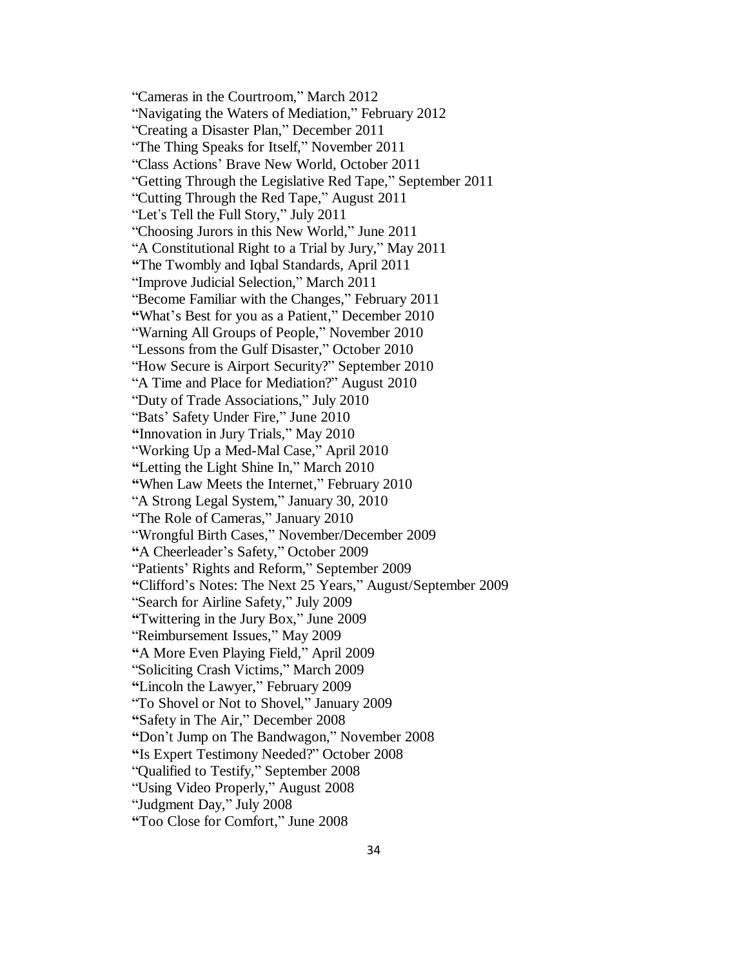"Cameras in the Courtroom," March 2012 "Navigating the Waters of Mediation," February 2012 "Creating a Disaster Plan," December 2011 "The Thing Speaks for Itself," November 2011 "Class Actions' Brave New World, October 2011 "Getting Through the Legislative Red Tape," September 2011 "Cutting Through the Red Tape," August 2011 "Let's Tell the Full Story," July 2011 "Choosing Jurors in this New World," June 2011 "A Constitutional Right to a Trial by Jury," May 2011 **"**The Twombly and Iqbal Standards, April 2011 "Improve Judicial Selection," March 2011 "Become Familiar with the Changes," February 2011 **"**What's Best for you as a Patient," December 2010 "Warning All Groups of People," November 2010 "Lessons from the Gulf Disaster," October 2010 "How Secure is Airport Security?" September 2010 "A Time and Place for Mediation?" August 2010 "Duty of Trade Associations," July 2010 "Bats' Safety Under Fire," June 2010 **"**Innovation in Jury Trials," May 2010 "Working Up a Med-Mal Case," April 2010 **"**Letting the Light Shine In," March 2010 **"**When Law Meets the Internet," February 2010 "A Strong Legal System," January 30, 2010 "The Role of Cameras," January 2010 "Wrongful Birth Cases," November/December 2009 **"**A Cheerleader's Safety," October 2009 "Patients' Rights and Reform," September 2009 **"**Clifford's Notes: The Next 25 Years," August/September 2009 "Search for Airline Safety," July 2009 **"**Twittering in the Jury Box," June 2009 "Reimbursement Issues," May 2009 **"**A More Even Playing Field," April 2009 "Soliciting Crash Victims," March 2009 **"**Lincoln the Lawyer," February 2009 "To Shovel or Not to Shovel," January 2009 **"**Safety in The Air," December 2008 **"**Don't Jump on The Bandwagon," November 2008 **"**Is Expert Testimony Needed?" October 2008 "Qualified to Testify," September 2008 "Using Video Properly," August 2008 "Judgment Day," July 2008 **"**Too Close for Comfort," June 2008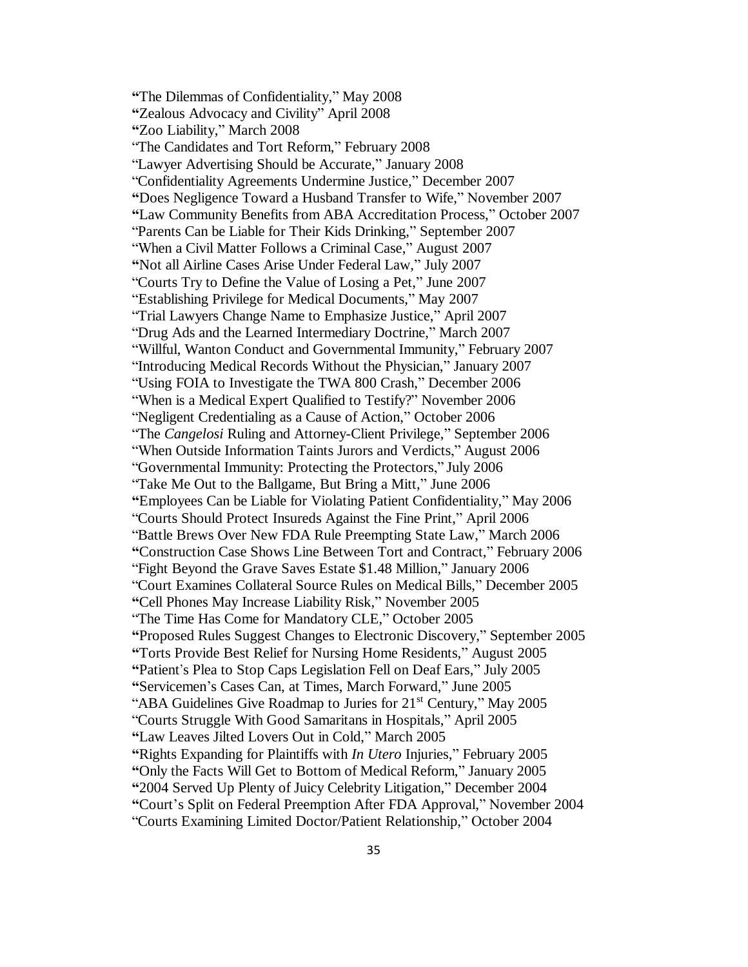**"**The Dilemmas of Confidentiality," May 2008 **"**Zealous Advocacy and Civility" April 2008 **"**Zoo Liability," March 2008 "The Candidates and Tort Reform," February 2008 "Lawyer Advertising Should be Accurate," January 2008 "Confidentiality Agreements Undermine Justice," December 2007 **"**Does Negligence Toward a Husband Transfer to Wife," November 2007 **"**Law Community Benefits from ABA Accreditation Process," October 2007 "Parents Can be Liable for Their Kids Drinking," September 2007 "When a Civil Matter Follows a Criminal Case," August 2007 **"**Not all Airline Cases Arise Under Federal Law," July 2007 "Courts Try to Define the Value of Losing a Pet," June 2007 "Establishing Privilege for Medical Documents," May 2007 "Trial Lawyers Change Name to Emphasize Justice," April 2007 "Drug Ads and the Learned Intermediary Doctrine," March 2007 "Willful, Wanton Conduct and Governmental Immunity," February 2007 "Introducing Medical Records Without the Physician," January 2007 "Using FOIA to Investigate the TWA 800 Crash," December 2006 "When is a Medical Expert Qualified to Testify?" November 2006 "Negligent Credentialing as a Cause of Action," October 2006 "The *Cangelosi* Ruling and Attorney-Client Privilege," September 2006 "When Outside Information Taints Jurors and Verdicts," August 2006 "Governmental Immunity: Protecting the Protectors," July 2006 "Take Me Out to the Ballgame, But Bring a Mitt," June 2006 **"**Employees Can be Liable for Violating Patient Confidentiality," May 2006 "Courts Should Protect Insureds Against the Fine Print," April 2006 "Battle Brews Over New FDA Rule Preempting State Law," March 2006 **"**Construction Case Shows Line Between Tort and Contract," February 2006 "Fight Beyond the Grave Saves Estate \$1.48 Million," January 2006 "Court Examines Collateral Source Rules on Medical Bills," December 2005 **"**Cell Phones May Increase Liability Risk," November 2005 "The Time Has Come for Mandatory CLE," October 2005 **"**Proposed Rules Suggest Changes to Electronic Discovery," September 2005 **"**Torts Provide Best Relief for Nursing Home Residents," August 2005 **"**Patient's Plea to Stop Caps Legislation Fell on Deaf Ears," July 2005 **"**Servicemen's Cases Can, at Times, March Forward," June 2005 "ABA Guidelines Give Roadmap to Juries for 21<sup>st</sup> Century," May 2005 "Courts Struggle With Good Samaritans in Hospitals," April 2005 **"**Law Leaves Jilted Lovers Out in Cold," March 2005 **"**Rights Expanding for Plaintiffs with *In Utero* Injuries," February 2005 **"**Only the Facts Will Get to Bottom of Medical Reform," January 2005 **"**2004 Served Up Plenty of Juicy Celebrity Litigation," December 2004 **"**Court's Split on Federal Preemption After FDA Approval," November 2004 "Courts Examining Limited Doctor/Patient Relationship," October 2004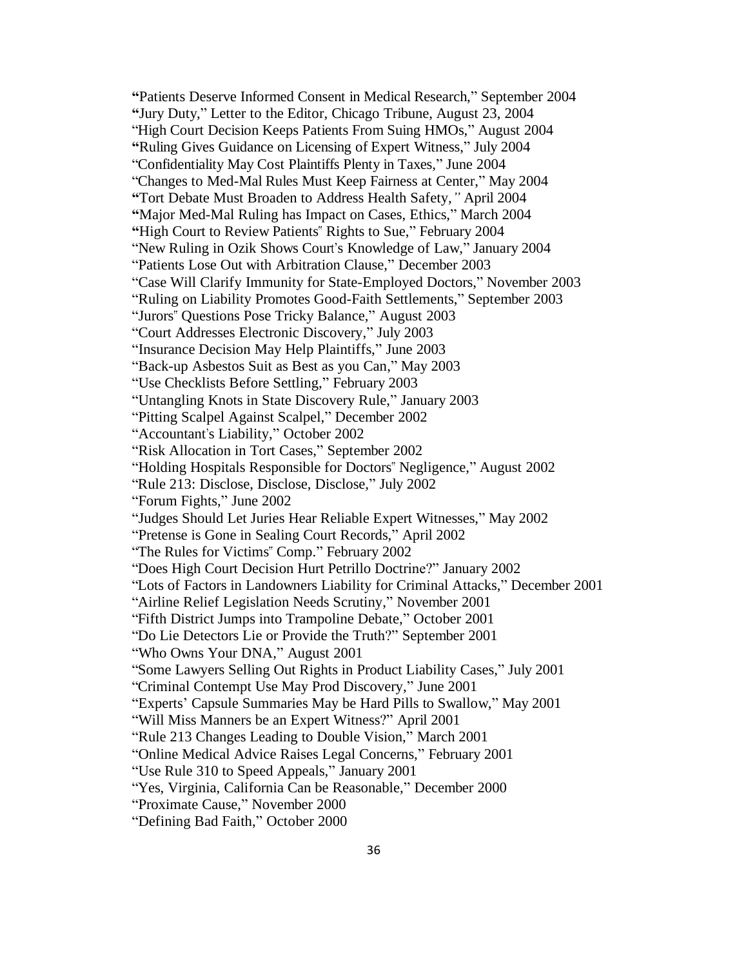**"**Patients Deserve Informed Consent in Medical Research," September 2004 **"**Jury Duty," Letter to the Editor, Chicago Tribune, August 23, 2004 "High Court Decision Keeps Patients From Suing HMOs," August 2004 **"**Ruling Gives Guidance on Licensing of Expert Witness," July 2004 "Confidentiality May Cost Plaintiffs Plenty in Taxes," June 2004 "Changes to Med-Mal Rules Must Keep Fairness at Center," May 2004 **"**Tort Debate Must Broaden to Address Health Safety*,"* April 2004 **"**Major Med-Mal Ruling has Impact on Cases, Ethics," March 2004 **"**High Court to Review Patients" Rights to Sue," February 2004 "New Ruling in Ozik Shows Court's Knowledge of Law," January 2004 "Patients Lose Out with Arbitration Clause," December 2003 "Case Will Clarify Immunity for State-Employed Doctors," November 2003 "Ruling on Liability Promotes Good-Faith Settlements," September 2003 "Jurors" Questions Pose Tricky Balance," August 2003 "Court Addresses Electronic Discovery," July 2003 "Insurance Decision May Help Plaintiffs," June 2003 "Back-up Asbestos Suit as Best as you Can," May 2003 "Use Checklists Before Settling," February 2003 "Untangling Knots in State Discovery Rule," January 2003 "Pitting Scalpel Against Scalpel," December 2002 "Accountant's Liability," October 2002 "Risk Allocation in Tort Cases," September 2002 "Holding Hospitals Responsible for Doctors" Negligence," August 2002 "Rule 213: Disclose, Disclose, Disclose," July 2002 "Forum Fights," June 2002 "Judges Should Let Juries Hear Reliable Expert Witnesses," May 2002 "Pretense is Gone in Sealing Court Records," April 2002 "The Rules for Victims" Comp." February 2002 "Does High Court Decision Hurt Petrillo Doctrine?" January 2002 "Lots of Factors in Landowners Liability for Criminal Attacks," December 2001 "Airline Relief Legislation Needs Scrutiny," November 2001 "Fifth District Jumps into Trampoline Debate," October 2001 "Do Lie Detectors Lie or Provide the Truth?" September 2001 "Who Owns Your DNA," August 2001 "Some Lawyers Selling Out Rights in Product Liability Cases," July 2001 "Criminal Contempt Use May Prod Discovery," June 2001 "Experts' Capsule Summaries May be Hard Pills to Swallow," May 2001 "Will Miss Manners be an Expert Witness?" April 2001 "Rule 213 Changes Leading to Double Vision," March 2001 "Online Medical Advice Raises Legal Concerns," February 2001 "Use Rule 310 to Speed Appeals," January 2001 "Yes, Virginia, California Can be Reasonable," December 2000 "Proximate Cause," November 2000 "Defining Bad Faith," October 2000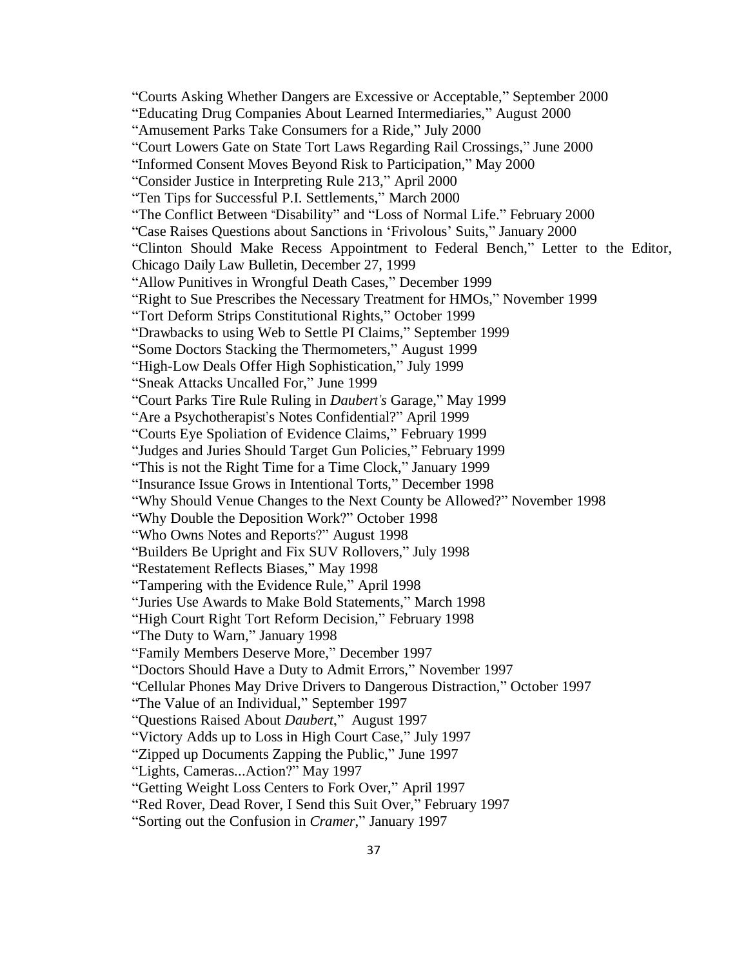"Courts Asking Whether Dangers are Excessive or Acceptable," September 2000 "Educating Drug Companies About Learned Intermediaries," August 2000 "Amusement Parks Take Consumers for a Ride," July 2000 "Court Lowers Gate on State Tort Laws Regarding Rail Crossings," June 2000 "Informed Consent Moves Beyond Risk to Participation," May 2000 "Consider Justice in Interpreting Rule 213," April 2000 "Ten Tips for Successful P.I. Settlements," March 2000 "The Conflict Between "Disability" and "Loss of Normal Life." February 2000 "Case Raises Questions about Sanctions in 'Frivolous' Suits," January 2000 "Clinton Should Make Recess Appointment to Federal Bench," Letter to the Editor, Chicago Daily Law Bulletin, December 27, 1999 "Allow Punitives in Wrongful Death Cases," December 1999 "Right to Sue Prescribes the Necessary Treatment for HMOs," November 1999 "Tort Deform Strips Constitutional Rights," October 1999 "Drawbacks to using Web to Settle PI Claims," September 1999 "Some Doctors Stacking the Thermometers," August 1999 "High-Low Deals Offer High Sophistication," July 1999 "Sneak Attacks Uncalled For," June 1999 "Court Parks Tire Rule Ruling in *Daubert's* Garage," May 1999 "Are a Psychotherapist's Notes Confidential?" April 1999 "Courts Eye Spoliation of Evidence Claims," February 1999 "Judges and Juries Should Target Gun Policies," February 1999 "This is not the Right Time for a Time Clock," January 1999 "Insurance Issue Grows in Intentional Torts," December 1998 "Why Should Venue Changes to the Next County be Allowed?" November 1998 "Why Double the Deposition Work?" October 1998 "Who Owns Notes and Reports?" August 1998 "Builders Be Upright and Fix SUV Rollovers," July 1998 "Restatement Reflects Biases," May 1998 "Tampering with the Evidence Rule," April 1998 "Juries Use Awards to Make Bold Statements," March 1998 "High Court Right Tort Reform Decision," February 1998 "The Duty to Warn," January 1998 "Family Members Deserve More," December 1997 "Doctors Should Have a Duty to Admit Errors," November 1997 "Cellular Phones May Drive Drivers to Dangerous Distraction," October 1997 "The Value of an Individual," September 1997 "Questions Raised About *Daubert*," August 1997 "Victory Adds up to Loss in High Court Case," July 1997 "Zipped up Documents Zapping the Public," June 1997 "Lights, Cameras...Action?" May 1997 "Getting Weight Loss Centers to Fork Over," April 1997 "Red Rover, Dead Rover, I Send this Suit Over," February 1997

"Sorting out the Confusion in *Cramer*," January 1997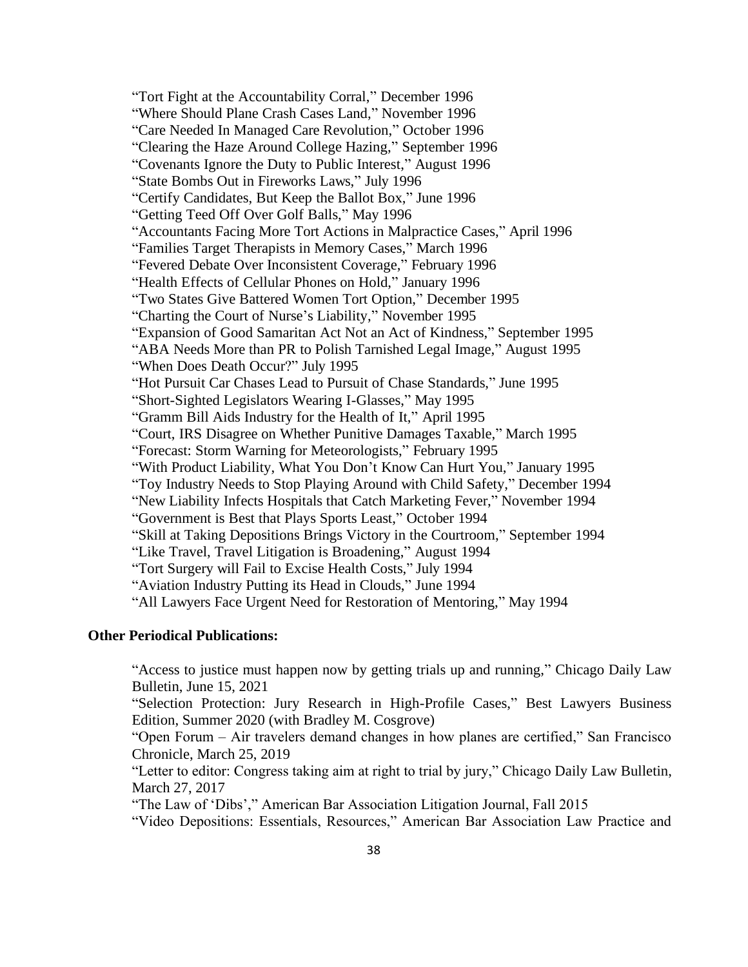"Tort Fight at the Accountability Corral," December 1996 "Where Should Plane Crash Cases Land," November 1996 "Care Needed In Managed Care Revolution," October 1996 "Clearing the Haze Around College Hazing," September 1996 "Covenants Ignore the Duty to Public Interest," August 1996 "State Bombs Out in Fireworks Laws," July 1996 "Certify Candidates, But Keep the Ballot Box," June 1996 "Getting Teed Off Over Golf Balls," May 1996 "Accountants Facing More Tort Actions in Malpractice Cases," April 1996 "Families Target Therapists in Memory Cases," March 1996 "Fevered Debate Over Inconsistent Coverage," February 1996 "Health Effects of Cellular Phones on Hold," January 1996 "Two States Give Battered Women Tort Option," December 1995 "Charting the Court of Nurse's Liability," November 1995 "Expansion of Good Samaritan Act Not an Act of Kindness," September 1995 "ABA Needs More than PR to Polish Tarnished Legal Image," August 1995 "When Does Death Occur?" July 1995 "Hot Pursuit Car Chases Lead to Pursuit of Chase Standards," June 1995 "Short-Sighted Legislators Wearing I-Glasses," May 1995 "Gramm Bill Aids Industry for the Health of It," April 1995 "Court, IRS Disagree on Whether Punitive Damages Taxable," March 1995 "Forecast: Storm Warning for Meteorologists," February 1995 "With Product Liability, What You Don't Know Can Hurt You," January 1995 "Toy Industry Needs to Stop Playing Around with Child Safety," December 1994 "New Liability Infects Hospitals that Catch Marketing Fever," November 1994 "Government is Best that Plays Sports Least," October 1994 "Skill at Taking Depositions Brings Victory in the Courtroom," September 1994 "Like Travel, Travel Litigation is Broadening," August 1994 "Tort Surgery will Fail to Excise Health Costs," July 1994 "Aviation Industry Putting its Head in Clouds," June 1994 "All Lawyers Face Urgent Need for Restoration of Mentoring," May 1994

#### **Other Periodical Publications:**

"Access to justice must happen now by getting trials up and running," Chicago Daily Law Bulletin, June 15, 2021

"Selection Protection: Jury Research in High-Profile Cases," Best Lawyers Business Edition, Summer 2020 (with Bradley M. Cosgrove)

"Open Forum – Air travelers demand changes in how planes are certified," San Francisco Chronicle, March 25, 2019

"Letter to editor: Congress taking aim at right to trial by jury," Chicago Daily Law Bulletin, March 27, 2017

"The Law of 'Dibs'," American Bar Association Litigation Journal, Fall 2015

"Video Depositions: Essentials, Resources," American Bar Association Law Practice and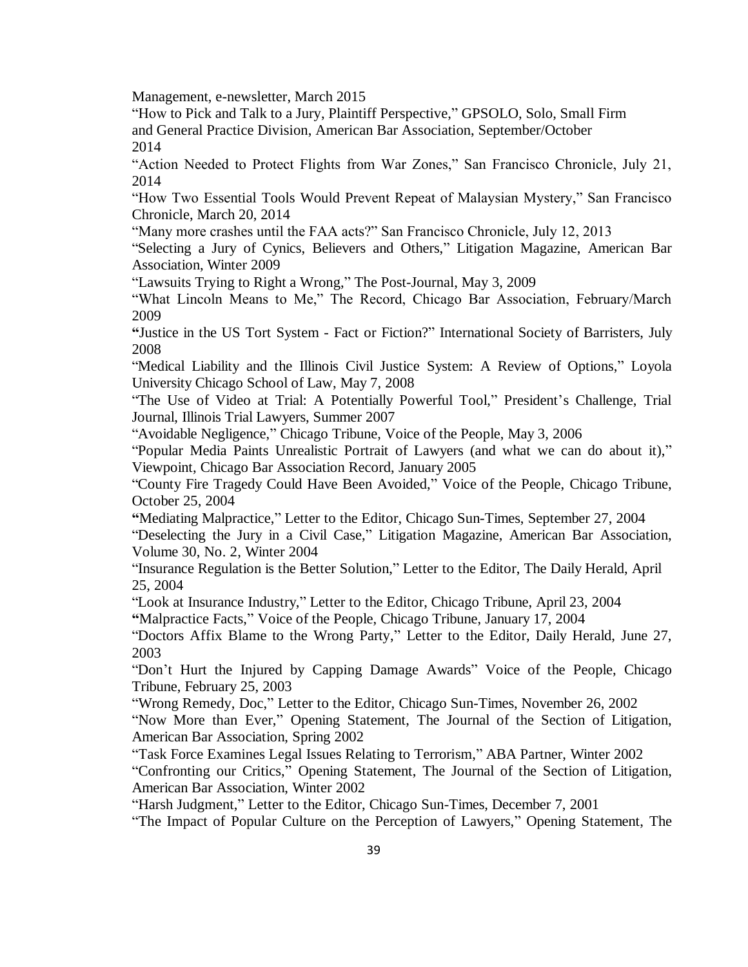Management, e-newsletter, March 2015

"How to Pick and Talk to a Jury, Plaintiff Perspective," GPSOLO, Solo, Small Firm and General Practice Division, American Bar Association, September/October 2014

"Action Needed to Protect Flights from War Zones," San Francisco Chronicle, July 21, 2014

"How Two Essential Tools Would Prevent Repeat of Malaysian Mystery," San Francisco Chronicle, March 20, 2014

"Many more crashes until the FAA acts?" San Francisco Chronicle, July 12, 2013

"Selecting a Jury of Cynics, Believers and Others," Litigation Magazine, American Bar Association, Winter 2009

"Lawsuits Trying to Right a Wrong," The Post-Journal, May 3, 2009

"What Lincoln Means to Me," The Record, Chicago Bar Association, February/March 2009

**"**Justice in the US Tort System - Fact or Fiction?" International Society of Barristers, July 2008

"Medical Liability and the Illinois Civil Justice System: A Review of Options," Loyola University Chicago School of Law, May 7, 2008

"The Use of Video at Trial: A Potentially Powerful Tool," President's Challenge, Trial Journal, Illinois Trial Lawyers, Summer 2007

"Avoidable Negligence," Chicago Tribune, Voice of the People, May 3, 2006

"Popular Media Paints Unrealistic Portrait of Lawyers (and what we can do about it)," Viewpoint, Chicago Bar Association Record, January 2005

"County Fire Tragedy Could Have Been Avoided," Voice of the People, Chicago Tribune, October 25, 2004

**"**Mediating Malpractice," Letter to the Editor, Chicago Sun-Times, September 27, 2004 "Deselecting the Jury in a Civil Case," Litigation Magazine, American Bar Association, Volume 30, No. 2, Winter 2004

"Insurance Regulation is the Better Solution," Letter to the Editor, The Daily Herald, April 25, 2004

"Look at Insurance Industry," Letter to the Editor, Chicago Tribune, April 23, 2004

**"**Malpractice Facts," Voice of the People, Chicago Tribune, January 17, 2004

"Doctors Affix Blame to the Wrong Party," Letter to the Editor, Daily Herald, June 27, 2003

"Don't Hurt the Injured by Capping Damage Awards" Voice of the People, Chicago Tribune, February 25, 2003

"Wrong Remedy, Doc," Letter to the Editor, Chicago Sun-Times, November 26, 2002

"Now More than Ever," Opening Statement, The Journal of the Section of Litigation, American Bar Association, Spring 2002

"Task Force Examines Legal Issues Relating to Terrorism," ABA Partner, Winter 2002 "Confronting our Critics," Opening Statement, The Journal of the Section of Litigation, American Bar Association, Winter 2002

"Harsh Judgment," Letter to the Editor, Chicago Sun-Times, December 7, 2001

"The Impact of Popular Culture on the Perception of Lawyers," Opening Statement, The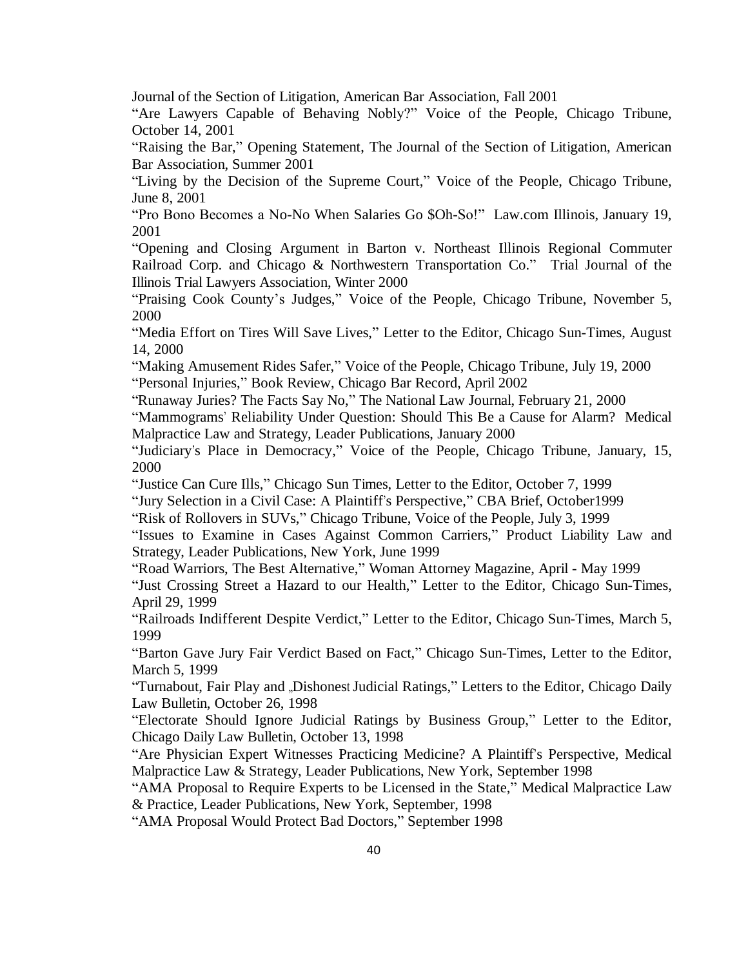Journal of the Section of Litigation, American Bar Association, Fall 2001

"Are Lawyers Capable of Behaving Nobly?" Voice of the People, Chicago Tribune, October 14, 2001

"Raising the Bar," Opening Statement, The Journal of the Section of Litigation, American Bar Association, Summer 2001

"Living by the Decision of the Supreme Court," Voice of the People, Chicago Tribune, June 8, 2001

"Pro Bono Becomes a No-No When Salaries Go \$Oh-So!" Law.com Illinois, January 19, 2001

"Opening and Closing Argument in Barton v. Northeast Illinois Regional Commuter Railroad Corp. and Chicago & Northwestern Transportation Co." Trial Journal of the Illinois Trial Lawyers Association, Winter 2000

"Praising Cook County's Judges," Voice of the People, Chicago Tribune, November 5, 2000

"Media Effort on Tires Will Save Lives," Letter to the Editor, Chicago Sun-Times, August 14, 2000

"Making Amusement Rides Safer," Voice of the People, Chicago Tribune*,* July 19, 2000 "Personal Injuries," Book Review, Chicago Bar Record, April 2002

"Runaway Juries? The Facts Say No," The National Law Journal, February 21, 2000

"Mammograms' Reliability Under Question: Should This Be a Cause for Alarm? Medical Malpractice Law and Strategy, Leader Publications, January 2000

"Judiciary's Place in Democracy," Voice of the People, Chicago Tribune, January, 15, 2000

"Justice Can Cure Ills," Chicago Sun Times, Letter to the Editor, October 7, 1999

"Jury Selection in a Civil Case: A Plaintiff's Perspective," CBA Brief, October1999

"Risk of Rollovers in SUVs," Chicago Tribune, Voice of the People, July 3, 1999

"Issues to Examine in Cases Against Common Carriers," Product Liability Law and Strategy, Leader Publications, New York, June 1999

"Road Warriors, The Best Alternative," Woman Attorney Magazine, April - May 1999

"Just Crossing Street a Hazard to our Health," Letter to the Editor, Chicago Sun-Times, April 29, 1999

"Railroads Indifferent Despite Verdict," Letter to the Editor, Chicago Sun-Times, March 5, 1999

"Barton Gave Jury Fair Verdict Based on Fact," Chicago Sun-Times, Letter to the Editor, March 5, 1999

"Turnabout, Fair Play and "Dishonest Judicial Ratings," Letters to the Editor, Chicago Daily Law Bulletin, October 26, 1998

"Electorate Should Ignore Judicial Ratings by Business Group," Letter to the Editor, Chicago Daily Law Bulletin, October 13, 1998

"Are Physician Expert Witnesses Practicing Medicine? A Plaintiff's Perspective, Medical Malpractice Law & Strategy, Leader Publications, New York, September 1998

"AMA Proposal to Require Experts to be Licensed in the State," Medical Malpractice Law & Practice, Leader Publications, New York, September, 1998

"AMA Proposal Would Protect Bad Doctors," September 1998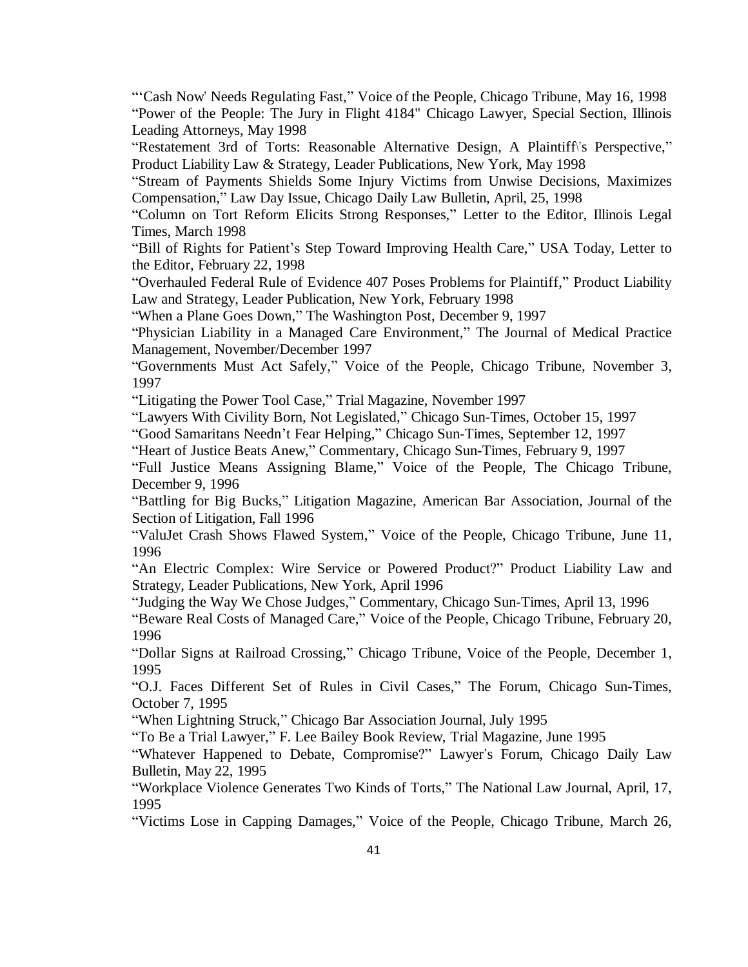"'Cash Now' Needs Regulating Fast," Voice of the People, Chicago Tribune, May 16, 1998 "Power of the People: The Jury in Flight 4184" Chicago Lawyer, Special Section, Illinois Leading Attorneys, May 1998

"Restatement 3rd of Torts: Reasonable Alternative Design, A Plaintiff\'s Perspective," Product Liability Law & Strategy, Leader Publications, New York, May 1998

"Stream of Payments Shields Some Injury Victims from Unwise Decisions, Maximizes Compensation," Law Day Issue, Chicago Daily Law Bulletin, April, 25, 1998

"Column on Tort Reform Elicits Strong Responses," Letter to the Editor, Illinois Legal Times, March 1998

"Bill of Rights for Patient's Step Toward Improving Health Care," USA Today, Letter to the Editor, February 22, 1998

"Overhauled Federal Rule of Evidence 407 Poses Problems for Plaintiff," Product Liability Law and Strategy, Leader Publication, New York, February 1998

"When a Plane Goes Down," The Washington Post, December 9, 1997

"Physician Liability in a Managed Care Environment," The Journal of Medical Practice Management, November/December 1997

"Governments Must Act Safely," Voice of the People, Chicago Tribune, November 3, 1997

"Litigating the Power Tool Case," Trial Magazine, November 1997

"Lawyers With Civility Born, Not Legislated," Chicago Sun-Times, October 15, 1997

"Good Samaritans Needn't Fear Helping," Chicago Sun-Times, September 12, 1997

"Heart of Justice Beats Anew," Commentary, Chicago Sun-Times, February 9, 1997

"Full Justice Means Assigning Blame," Voice of the People, The Chicago Tribune, December 9, 1996

"Battling for Big Bucks," Litigation Magazine, American Bar Association, Journal of the Section of Litigation, Fall 1996

"ValuJet Crash Shows Flawed System," Voice of the People, Chicago Tribune, June 11, 1996

"An Electric Complex: Wire Service or Powered Product?" Product Liability Law and Strategy, Leader Publications, New York, April 1996

"Judging the Way We Chose Judges," Commentary, Chicago Sun-Times, April 13, 1996

"Beware Real Costs of Managed Care," Voice of the People, Chicago Tribune, February 20, 1996

"Dollar Signs at Railroad Crossing," Chicago Tribune, Voice of the People, December 1, 1995

"O.J. Faces Different Set of Rules in Civil Cases," The Forum, Chicago Sun-Times, October 7, 1995

"When Lightning Struck," Chicago Bar Association Journal*,* July 1995

"To Be a Trial Lawyer," F. Lee Bailey Book Review, Trial Magazine*,* June 1995

"Whatever Happened to Debate, Compromise?" Lawyer's Forum, Chicago Daily Law Bulletin, May 22, 1995

"Workplace Violence Generates Two Kinds of Torts," The National Law Journal, April, 17, 1995

"Victims Lose in Capping Damages," Voice of the People, Chicago Tribune, March 26,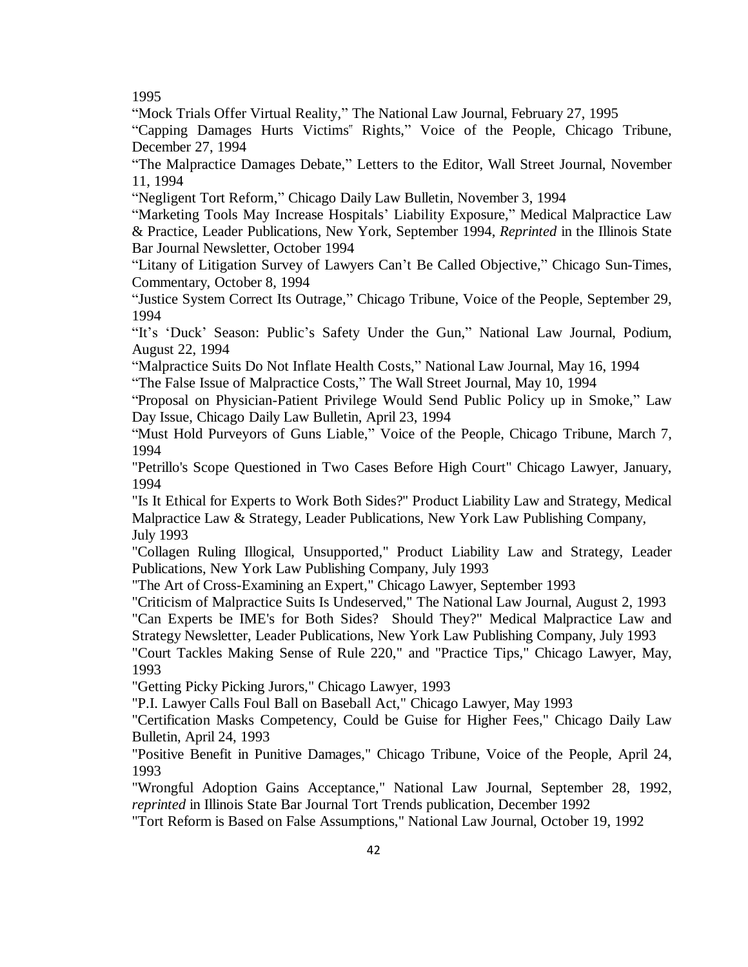1995

"Mock Trials Offer Virtual Reality," The National Law Journal, February 27, 1995

"Capping Damages Hurts Victims" Rights," Voice of the People, Chicago Tribune, December 27, 1994

"The Malpractice Damages Debate," Letters to the Editor, Wall Street Journal, November 11, 1994

"Negligent Tort Reform," Chicago Daily Law Bulletin, November 3, 1994

"Marketing Tools May Increase Hospitals' Liability Exposure," Medical Malpractice Law & Practice, Leader Publications, New York, September 1994, *Reprinted* in the Illinois State Bar Journal Newsletter, October 1994

"Litany of Litigation Survey of Lawyers Can't Be Called Objective," Chicago Sun-Times, Commentary, October 8, 1994

"Justice System Correct Its Outrage," Chicago Tribune, Voice of the People, September 29, 1994

"It's 'Duck' Season: Public's Safety Under the Gun," National Law Journal, Podium, August 22, 1994

"Malpractice Suits Do Not Inflate Health Costs," National Law Journal, May 16, 1994

"The False Issue of Malpractice Costs," The Wall Street Journal, May 10, 1994

"Proposal on Physician-Patient Privilege Would Send Public Policy up in Smoke," Law Day Issue, Chicago Daily Law Bulletin, April 23, 1994

"Must Hold Purveyors of Guns Liable," Voice of the People, Chicago Tribune, March 7, 1994

"Petrillo's Scope Questioned in Two Cases Before High Court" Chicago Lawyer, January, 1994

"Is It Ethical for Experts to Work Both Sides?" Product Liability Law and Strategy, Medical Malpractice Law & Strategy, Leader Publications, New York Law Publishing Company, July 1993

"Collagen Ruling Illogical, Unsupported," Product Liability Law and Strategy, Leader Publications, New York Law Publishing Company, July 1993

"The Art of Cross-Examining an Expert," Chicago Lawyer, September 1993

"Criticism of Malpractice Suits Is Undeserved," The National Law Journal, August 2, 1993 "Can Experts be IME's for Both Sides? Should They?" Medical Malpractice Law and Strategy Newsletter, Leader Publications, New York Law Publishing Company, July 1993

"Court Tackles Making Sense of Rule 220," and "Practice Tips," Chicago Lawyer, May, 1993

"Getting Picky Picking Jurors," Chicago Lawyer, 1993

"P.I. Lawyer Calls Foul Ball on Baseball Act," Chicago Lawyer, May 1993

"Certification Masks Competency, Could be Guise for Higher Fees," Chicago Daily Law Bulletin, April 24, 1993

"Positive Benefit in Punitive Damages," Chicago Tribune, Voice of the People, April 24, 1993

"Wrongful Adoption Gains Acceptance," National Law Journal, September 28, 1992, *reprinted* in Illinois State Bar Journal Tort Trends publication, December 1992

"Tort Reform is Based on False Assumptions," National Law Journal, October 19, 1992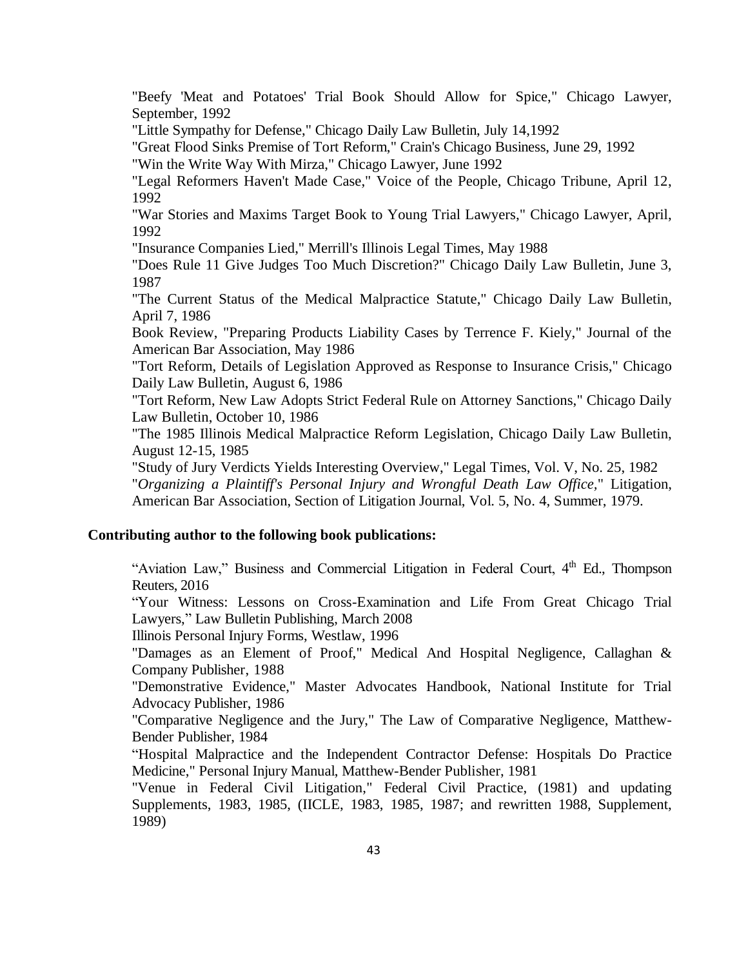"Beefy 'Meat and Potatoes' Trial Book Should Allow for Spice," Chicago Lawyer, September, 1992

"Little Sympathy for Defense," Chicago Daily Law Bulletin, July 14,1992

"Great Flood Sinks Premise of Tort Reform," Crain's Chicago Business, June 29, 1992

"Win the Write Way With Mirza," Chicago Lawyer, June 1992

"Legal Reformers Haven't Made Case," Voice of the People, Chicago Tribune, April 12, 1992

"War Stories and Maxims Target Book to Young Trial Lawyers," Chicago Lawyer, April, 1992

"Insurance Companies Lied," Merrill's Illinois Legal Times, May 1988

"Does Rule 11 Give Judges Too Much Discretion?" Chicago Daily Law Bulletin, June 3, 1987

"The Current Status of the Medical Malpractice Statute," Chicago Daily Law Bulletin, April 7, 1986

Book Review, "Preparing Products Liability Cases by Terrence F. Kiely," Journal of the American Bar Association, May 1986

"Tort Reform, Details of Legislation Approved as Response to Insurance Crisis," Chicago Daily Law Bulletin, August 6, 1986

"Tort Reform, New Law Adopts Strict Federal Rule on Attorney Sanctions," Chicago Daily Law Bulletin, October 10, 1986

"The 1985 Illinois Medical Malpractice Reform Legislation, Chicago Daily Law Bulletin, August 12-15, 1985

"Study of Jury Verdicts Yields Interesting Overview," Legal Times, Vol. V, No. 25, 1982 "*Organizing a Plaintiff's Personal Injury and Wrongful Death Law Office,*" Litigation, American Bar Association, Section of Litigation Journal, Vol. 5, No. 4, Summer, 1979.

#### **Contributing author to the following book publications:**

"Aviation Law," Business and Commercial Litigation in Federal Court,  $4<sup>th</sup>$  Ed., Thompson Reuters, 2016

"Your Witness: Lessons on Cross-Examination and Life From Great Chicago Trial Lawyers," Law Bulletin Publishing, March 2008

Illinois Personal Injury Forms, Westlaw, 1996

"Damages as an Element of Proof," Medical And Hospital Negligence, Callaghan & Company Publisher, 1988

"Demonstrative Evidence," Master Advocates Handbook, National Institute for Trial Advocacy Publisher, 1986

"Comparative Negligence and the Jury," The Law of Comparative Negligence, Matthew-Bender Publisher, 1984

"Hospital Malpractice and the Independent Contractor Defense: Hospitals Do Practice Medicine," Personal Injury Manual, Matthew-Bender Publisher, 1981

"Venue in Federal Civil Litigation," Federal Civil Practice, (1981) and updating Supplements, 1983, 1985, (IICLE, 1983, 1985, 1987; and rewritten 1988, Supplement, 1989)